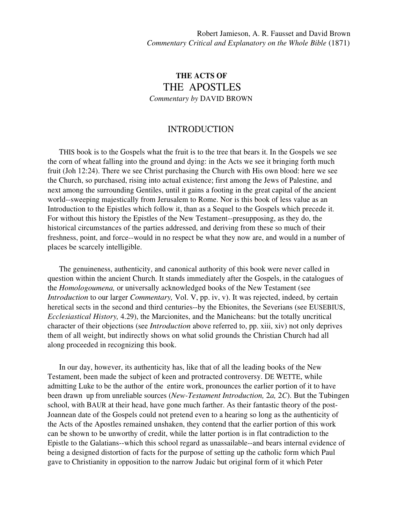# **THE ACTS OF** THE APOSTLES *Commentary by* DAVID BROWN

# INTRODUCTION

 THIS book is to the Gospels what the fruit is to the tree that bears it. In the Gospels we see the corn of wheat falling into the ground and dying: in the Acts we see it bringing forth much fruit (Joh 12:24). There we see Christ purchasing the Church with His own blood: here we see the Church, so purchased, rising into actual existence; first among the Jews of Palestine, and next among the surrounding Gentiles, until it gains a footing in the great capital of the ancient world--sweeping majestically from Jerusalem to Rome. Nor is this book of less value as an Introduction to the Epistles which follow it, than as a Sequel to the Gospels which precede it. For without this history the Epistles of the New Testament--presupposing, as they do, the historical circumstances of the parties addressed, and deriving from these so much of their freshness, point, and force--would in no respect be what they now are, and would in a number of places be scarcely intelligible.

 The genuineness, authenticity, and canonical authority of this book were never called in question within the ancient Church. It stands immediately after the Gospels, in the catalogues of the *Homologoumena,* or universally acknowledged books of the New Testament (see *Introduction* to our larger *Commentary,* Vol. V, pp. iv, v). It was rejected, indeed, by certain heretical sects in the second and third centuries--by the Ebionites, the Severians (see EUSEBIUS, *Ecclesiastical History,* 4.29), the Marcionites, and the Manicheans: but the totally uncritical character of their objections (see *Introduction* above referred to, pp. xiii, xiv) not only deprives them of all weight, but indirectly shows on what solid grounds the Christian Church had all along proceeded in recognizing this book.

 In our day, however, its authenticity has, like that of all the leading books of the New Testament, been made the subject of keen and protracted controversy. DE WETTE, while admitting Luke to be the author of the entire work, pronounces the earlier portion of it to have been drawn up from unreliable sources (*New-Testament Introduction,* 2*a,* 2*C*). But the Tubingen school, with BAUR at their head, have gone much farther. As their fantastic theory of the post-Joannean date of the Gospels could not pretend even to a hearing so long as the authenticity of the Acts of the Apostles remained unshaken, they contend that the earlier portion of this work can be shown to be unworthy of credit, while the latter portion is in flat contradiction to the Epistle to the Galatians--which this school regard as unassailable--and bears internal evidence of being a designed distortion of facts for the purpose of setting up the catholic form which Paul gave to Christianity in opposition to the narrow Judaic but original form of it which Peter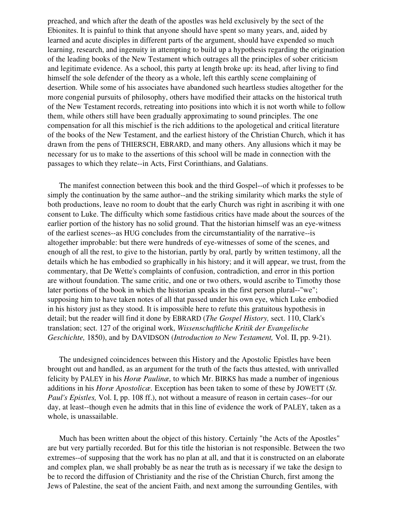preached, and which after the death of the apostles was held exclusively by the sect of the Ebionites. It is painful to think that anyone should have spent so many years, and, aided by learned and acute disciples in different parts of the argument, should have expended so much learning, research, and ingenuity in attempting to build up a hypothesis regarding the origination of the leading books of the New Testament which outrages all the principles of sober criticism and legitimate evidence. As a school, this party at length broke up: its head, after living to find himself the sole defender of the theory as a whole, left this earthly scene complaining of desertion. While some of his associates have abandoned such heartless studies altogether for the more congenial pursuits of philosophy, others have modified their attacks on the historical truth of the New Testament records, retreating into positions into which it is not worth while to follow them, while others still have been gradually approximating to sound principles. The one compensation for all this mischief is the rich additions to the apologetical and critical literature of the books of the New Testament, and the earliest history of the Christian Church, which it has drawn from the pens of THIERSCH, EBRARD, and many others. Any allusions which it may be necessary for us to make to the assertions of this school will be made in connection with the passages to which they relate--in Acts, First Corinthians, and Galatians.

 The manifest connection between this book and the third Gospel--of which it professes to be simply the continuation by the same author--and the striking similarity which marks the style of both productions, leave no room to doubt that the early Church was right in ascribing it with one consent to Luke. The difficulty which some fastidious critics have made about the sources of the earlier portion of the history has no solid ground. That the historian himself was an eye-witness of the earliest scenes--as HUG concludes from the circumstantiality of the narrative--is altogether improbable: but there were hundreds of eye-witnesses of some of the scenes, and enough of all the rest, to give to the historian, partly by oral, partly by written testimony, all the details which he has embodied so graphically in his history; and it will appear, we trust, from the commentary, that De Wette's complaints of confusion, contradiction, and error in this portion are without foundation. The same critic, and one or two others, would ascribe to Timothy those later portions of the book in which the historian speaks in the first person plural--"we"; supposing him to have taken notes of all that passed under his own eye, which Luke embodied in his history just as they stood. It is impossible here to refute this gratuitous hypothesis in detail; but the reader will find it done by EBRARD (*The Gospel History,* sect. 110, Clark's translation; sect. 127 of the original work, *Wissenschaftliche Kritik der Evangelische Geschichte,* 1850), and by DAVIDSON (*Introduction to New Testament,* Vol. II, pp. 9-21).

 The undesigned coincidences between this History and the Apostolic Epistles have been brought out and handled, as an argument for the truth of the facts thus attested, with unrivalled felicity by PALEY in his *Horæ Paulinæ,* to which Mr. BIRKS has made a number of ingenious additions in his *Horæ Apostolicæ.* Exception has been taken to some of these by JOWETT (*St. Paul's Epistles,* Vol. I, pp. 108 ff.), not without a measure of reason in certain cases--for our day, at least--though even he admits that in this line of evidence the work of PALEY, taken as a whole, is unassailable.

 Much has been written about the object of this history. Certainly "the Acts of the Apostles" are but very partially recorded. But for this title the historian is not responsible. Between the two extremes--of supposing that the work has no plan at all, and that it is constructed on an elaborate and complex plan, we shall probably be as near the truth as is necessary if we take the design to be to record the diffusion of Christianity and the rise of the Christian Church, first among the Jews of Palestine, the seat of the ancient Faith, and next among the surrounding Gentiles, with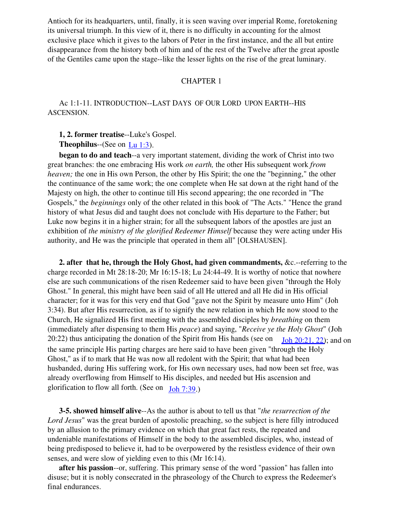Antioch for its headquarters, until, finally, it is seen waving over imperial Rome, foretokening its universal triumph. In this view of it, there is no difficulty in accounting for the almost exclusive place which it gives to the labors of Peter in the first instance, and the all but entire disappearance from the history both of him and of the rest of the Twelve after the great apostle of the Gentiles came upon the stage--like the lesser lights on the rise of the great luminary.

# CHAPTER 1

 Ac 1:1-11. INTRODUCTION--LAST DAYS OF OUR LORD UPON EARTH--HIS ASCENSION.

**1, 2. former treatise**--Luke's Gospel.

**Theophilus**--(See on  $\mu$  1:3).

 **began to do and teach**--a very important statement, dividing the work of Christ into two great branches: the one embracing His work *on earth,* the other His subsequent work *from heaven;* the one in His own Person, the other by His Spirit; the one the "beginning," the other the continuance of the same work; the one complete when He sat down at the right hand of the Majesty on high, the other to continue till His second appearing; the one recorded in "The Gospels," the *beginnings* only of the other related in this book of "The Acts." "Hence the grand history of what Jesus did and taught does not conclude with His departure to the Father; but Luke now begins it in a higher strain; for all the subsequent labors of the apostles are just an exhibition of *the ministry of the glorified Redeemer Himself* because they were acting under His authority, and He was the principle that operated in them all" [OLSHAUSEN].

Joh 20:21, 22); and on glorification to flow all forth. (See on Joh 7:39.) **2. after that he, through the Holy Ghost, had given commandments,** &c.--referring to the charge recorded in Mt 28:18-20; Mr 16:15-18; Lu 24:44-49. It is worthy of notice that nowhere else are such communications of the risen Redeemer said to have been given "through the Holy Ghost." In general, this might have been said of all He uttered and all He did in His official character; for it was for this very end that God "gave not the Spirit by measure unto Him" (Joh 3:34). But after His resurrection, as if to signify the new relation in which He now stood to the Church, He signalized His first meeting with the assembled disciples by *breathing* on them (immediately after dispensing to them His *peace*) and saying, "*Receive ye the Holy Ghost*" (Joh 20:22) thus anticipating the donation of the Spirit from His hands (see on the same principle His parting charges are here said to have been given "through the Holy Ghost," as if to mark that He was now all redolent with the Spirit; that what had been husbanded, during His suffering work, for His own necessary uses, had now been set free, was already overflowing from Himself to His disciples, and needed but His ascension and

 **3-5. showed himself alive**--As the author is about to tell us that "*the resurrection of the Lord Jesus*" was the great burden of apostolic preaching, so the subject is here filly introduced by an allusion to the primary evidence on which that great fact rests, the repeated and undeniable manifestations of Himself in the body to the assembled disciples, who, instead of being predisposed to believe it, had to be overpowered by the resistless evidence of their own senses, and were slow of yielding even to this (Mr 16:14).

 **after his passion**--or, suffering. This primary sense of the word "passion" has fallen into disuse; but it is nobly consecrated in the phraseology of the Church to express the Redeemer's final endurances.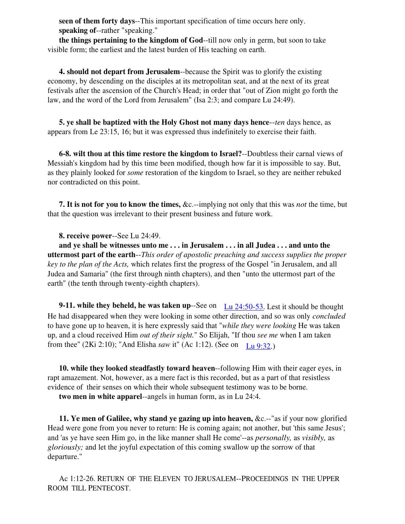**seen of them forty days**--This important specification of time occurs here only. **speaking of**--rather "speaking."

 **the things pertaining to the kingdom of God**--till now only in germ, but soon to take visible form; the earliest and the latest burden of His teaching on earth.

 **4. should not depart from Jerusalem**--because the Spirit was to glorify the existing economy, by descending on the disciples at its metropolitan seat, and at the next of its great festivals after the ascension of the Church's Head; in order that "out of Zion might go forth the law, and the word of the Lord from Jerusalem" (Isa 2:3; and compare Lu 24:49).

 **5. ye shall be baptized with the Holy Ghost not many days hence**--*ten* days hence, as appears from Le 23:15, 16; but it was expressed thus indefinitely to exercise their faith.

 **6-8. wilt thou at this time restore the kingdom to Israel?**--Doubtless their carnal views of Messiah's kingdom had by this time been modified, though how far it is impossible to say. But, as they plainly looked for *some* restoration of the kingdom to Israel, so they are neither rebuked nor contradicted on this point.

 **7. It is not for you to know the times,** &c.--implying not only that this was *not* the time, but that the question was irrelevant to their present business and future work.

## **8. receive power**--See Lu 24:49.

 **and ye shall be witnesses unto me . . . in Jerusalem . . . in all Judea . . . and unto the uttermost part of the earth**--*This order of apostolic preaching and success supplies the proper key to the plan of the Acts,* which relates first the progress of the Gospel "in Jerusalem, and all Judea and Samaria" (the first through ninth chapters), and then "unto the uttermost part of the earth" (the tenth through twenty-eighth chapters).

**9-11. while they beheld, he was taken up**--See on Lu 24:50-53. Lest it should be thought from thee" (2Ki 2:10); "And Elisha *saw* it" (Ac 1:12). (See on Lu 9:32.) He had disappeared when they were looking in some other direction, and so was only *concluded* to have gone up to heaven, it is here expressly said that "*while they were looking* He was taken up, and a cloud received Him *out of their sight.*" So Elijah, "If thou *see me* when I am taken

 **10. while they looked steadfastly toward heaven**--following Him with their eager eyes, in rapt amazement. Not, however, as a mere fact is this recorded, but as a part of that resistless evidence of their senses on which their whole subsequent testimony was to be borne.

**two men in white apparel**--angels in human form, as in Lu 24:4.

 **11. Ye men of Galilee, why stand ye gazing up into heaven,** &c.--"as if your now glorified Head were gone from you never to return: He is coming again; not another, but 'this same Jesus'; and 'as ye have seen Him go, in the like manner shall He come'--as *personally,* as *visibly,* as *gloriously;* and let the joyful expectation of this coming swallow up the sorrow of that departure."

 Ac 1:12-26. RETURN OF THE ELEVEN TO JERUSALEM--PROCEEDINGS IN THE UPPER ROOM TILL PENTECOST.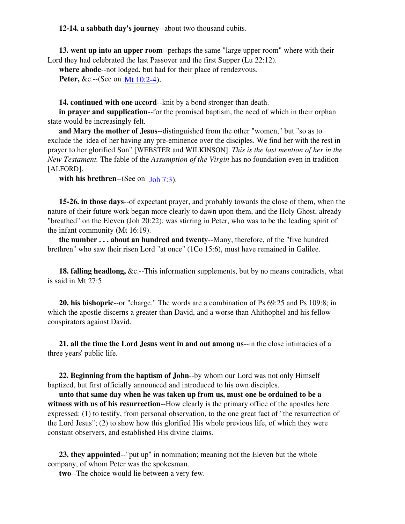**12-14. a sabbath day's journey**--about two thousand cubits.

 **13. went up into an upper room**--perhaps the same "large upper room" where with their Lord they had celebrated the last Passover and the first Supper (Lu 22:12).

**Peter,** &c.--(See on <u>Mt 10:2-4</u>). **where abode**--not lodged, but had for their place of rendezvous.

**14. continued with one accord**--knit by a bond stronger than death.

**in prayer and supplication**--for the promised baptism, the need of which in their orphan state would be increasingly felt.

 **and Mary the mother of Jesus**--distinguished from the other "women," but "so as to exclude the idea of her having any pre-eminence over the disciples. We find her with the rest in prayer to her glorified Son" [WEBSTER and WILKINSON]. *This is the last mention of her in the New Testament.* The fable of the *Assumption of the Virgin* has no foundation even in tradition [ALFORD].

with his brethren--(See on Joh 7:3).

 **15-26. in those days**--of expectant prayer, and probably towards the close of them, when the nature of their future work began more clearly to dawn upon them, and the Holy Ghost, already "breathed" on the Eleven (Joh 20:22), was stirring in Peter, who was to be the leading spirit of the infant community (Mt 16:19).

 **the number . . . about an hundred and twenty**--Many, therefore, of the "five hundred brethren" who saw their risen Lord "at once" (1Co 15:6), must have remained in Galilee.

**18. falling headlong, &c.**--This information supplements, but by no means contradicts, what is said in Mt 27:5.

 **20. his bishopric**--or "charge." The words are a combination of Ps 69:25 and Ps 109:8; in which the apostle discerns a greater than David, and a worse than Ahithophel and his fellow conspirators against David.

 **21. all the time the Lord Jesus went in and out among us**--in the close intimacies of a three years' public life.

 **22. Beginning from the baptism of John**--by whom our Lord was not only Himself baptized, but first officially announced and introduced to his own disciples.

 **unto that same day when he was taken up from us, must one be ordained to be a witness with us of his resurrection**--How clearly is the primary office of the apostles here expressed: (1) to testify, from personal observation, to the one great fact of "the resurrection of the Lord Jesus"; (2) to show how this glorified His whole previous life, of which they were constant observers, and established His divine claims.

 **23. they appointed**--"put up" in nomination; meaning not the Eleven but the whole company, of whom Peter was the spokesman.

**two**--The choice would lie between a very few.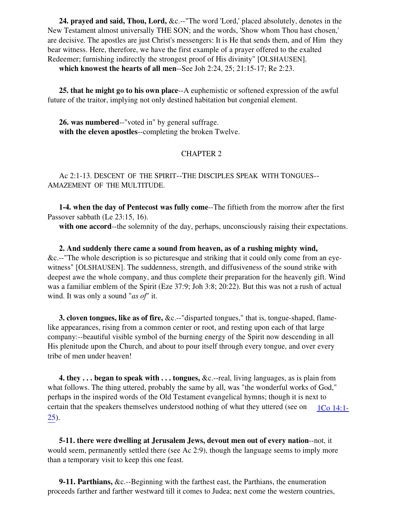**24. prayed and said, Thou, Lord,** &c.--"The word 'Lord,' placed absolutely, denotes in the New Testament almost universally THE SON; and the words, 'Show whom Thou hast chosen,' are decisive. The apostles are just Christ's messengers: It is He that sends them, and of Him they bear witness. Here, therefore, we have the first example of a prayer offered to the exalted Redeemer; furnishing indirectly the strongest proof of His divinity" [OLSHAUSEN].

**which knowest the hearts of all men**--See Joh 2:24, 25; 21:15-17; Re 2:23.

 **25. that he might go to his own place**--A euphemistic or softened expression of the awful future of the traitor, implying not only destined habitation but congenial element.

 **26. was numbered**--"voted in" by general suffrage. **with the eleven apostles**--completing the broken Twelve.

# CHAPTER 2

 Ac 2:1-13. DESCENT OF THE SPIRIT--THE DISCIPLES SPEAK WITH TONGUES-- AMAZEMENT OF THE MULTITUDE.

 **1-4. when the day of Pentecost was fully come**--The fiftieth from the morrow after the first Passover sabbath (Le 23:15, 16).

**with one accord**--the solemnity of the day, perhaps, unconsciously raising their expectations.

 **2. And suddenly there came a sound from heaven, as of a rushing mighty wind,** &c.--"The whole description is so picturesque and striking that it could only come from an eyewitness" [OLSHAUSEN]. The suddenness, strength, and diffusiveness of the sound strike with deepest awe the whole company, and thus complete their preparation for the heavenly gift. Wind was a familiar emblem of the Spirit (Eze 37:9; Joh 3:8; 20:22). But this was not a rush of actual wind. It was only a sound "*as of*" it.

 **3. cloven tongues, like as of fire,** &c.--"disparted tongues," that is, tongue-shaped, flamelike appearances, rising from a common center or root, and resting upon each of that large company:--beautiful visible symbol of the burning energy of the Spirit now descending in all His plenitude upon the Church, and about to pour itself through every tongue, and over every tribe of men under heaven!

1Co 14:1- **4. they . . . began to speak with . . . tongues,** &c.--real, living languages, as is plain from what follows. The thing uttered, probably the same by all, was "the wonderful works of God," perhaps in the inspired words of the Old Testament evangelical hymns; though it is next to certain that the speakers themselves understood nothing of what they uttered (see on 25).

 **5-11. there were dwelling at Jerusalem Jews, devout men out of every nation**--not, it would seem, permanently settled there (see Ac 2:9), though the language seems to imply more than a temporary visit to keep this one feast.

 **9-11. Parthians,** &c.--Beginning with the farthest east, the Parthians, the enumeration proceeds farther and farther westward till it comes to Judea; next come the western countries,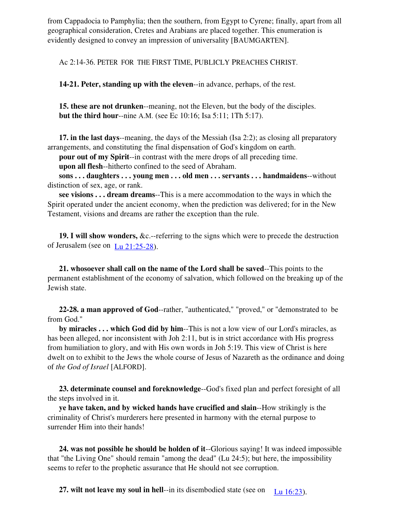from Cappadocia to Pamphylia; then the southern, from Egypt to Cyrene; finally, apart from all geographical consideration, Cretes and Arabians are placed together. This enumeration is evidently designed to convey an impression of universality [BAUMGARTEN].

Ac 2:14-36. PETER FOR THE FIRST TIME, PUBLICLY PREACHES CHRIST.

**14-21. Peter, standing up with the eleven**--in advance, perhaps, of the rest.

 **15. these are not drunken**--meaning, not the Eleven, but the body of the disciples. **but the third hour**--nine A.M. (see Ec 10:16; Isa 5:11; 1Th 5:17).

 **17. in the last days**--meaning, the days of the Messiah (Isa 2:2); as closing all preparatory arrangements, and constituting the final dispensation of God's kingdom on earth.

**pour out of my Spirit**--in contrast with the mere drops of all preceding time.

**upon all flesh**--hitherto confined to the seed of Abraham.

 **sons . . . daughters . . . young men . . . old men . . . servants . . . handmaidens**--without distinction of sex, age, or rank.

 **see visions . . . dream dreams**--This is a mere accommodation to the ways in which the Spirit operated under the ancient economy, when the prediction was delivered; for in the New Testament, visions and dreams are rather the exception than the rule.

of Jerusalem (see on  $Lu 21:25-28$ ).</u> **19. I will show wonders,** &c.--referring to the signs which were to precede the destruction

 **21. whosoever shall call on the name of the Lord shall be saved**--This points to the permanent establishment of the economy of salvation, which followed on the breaking up of the Jewish state.

 **22-28. a man approved of God**--rather, "authenticated," "proved," or "demonstrated to be from God."

 **by miracles . . . which God did by him**--This is not a low view of our Lord's miracles, as has been alleged, nor inconsistent with Joh 2:11, but is in strict accordance with His progress from humiliation to glory, and with His own words in Joh 5:19. This view of Christ is here dwelt on to exhibit to the Jews the whole course of Jesus of Nazareth as the ordinance and doing of *the God of Israel* [ALFORD].

 **23. determinate counsel and foreknowledge**--God's fixed plan and perfect foresight of all the steps involved in it.

 **ye have taken, and by wicked hands have crucified and slain**--How strikingly is the criminality of Christ's murderers here presented in harmony with the eternal purpose to surrender Him into their hands!

 **24. was not possible he should be holden of it**--Glorious saying! It was indeed impossible that "the Living One" should remain "among the dead" (Lu 24:5); but here, the impossibility seems to refer to the prophetic assurance that He should not see corruption.

Lu 16:23). **27. wilt not leave my soul in hell**--in its disembodied state (see on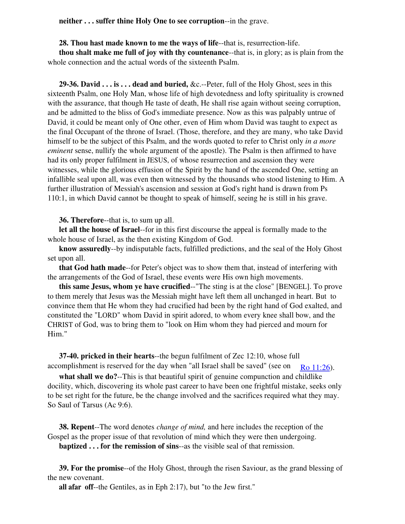**neither . . . suffer thine Holy One to see corruption**--in the grave.

#### **28. Thou hast made known to me the ways of life**--that is, resurrection-life.

 **thou shalt make me full of joy with thy countenance**--that is, in glory; as is plain from the whole connection and the actual words of the sixteenth Psalm.

 **29-36. David . . . is . . . dead and buried,** &c.--Peter, full of the Holy Ghost, sees in this sixteenth Psalm, one Holy Man, whose life of high devotedness and lofty spirituality is crowned with the assurance, that though He taste of death, He shall rise again without seeing corruption, and be admitted to the bliss of God's immediate presence. Now as this was palpably untrue of David, it could be meant only of One other, even of Him whom David was taught to expect as the final Occupant of the throne of Israel. (Those, therefore, and they are many, who take David himself to be the subject of this Psalm, and the words quoted to refer to Christ only *in a more eminent* sense, nullify the whole argument of the apostle). The Psalm is then affirmed to have had its only proper fulfilment in JESUS, of whose resurrection and ascension they were witnesses, while the glorious effusion of the Spirit by the hand of the ascended One, setting an infallible seal upon all, was even then witnessed by the thousands who stood listening to Him. A further illustration of Messiah's ascension and session at God's right hand is drawn from Ps 110:1, in which David cannot be thought to speak of himself, seeing he is still in his grave.

**36. Therefore**--that is, to sum up all.

 **let all the house of Israel**--for in this first discourse the appeal is formally made to the whole house of Israel, as the then existing Kingdom of God.

 **know assuredly**--by indisputable facts, fulfilled predictions, and the seal of the Holy Ghost set upon all.

 **that God hath made**--for Peter's object was to show them that, instead of interfering with the arrangements of the God of Israel, these events were His own high movements.

 **this same Jesus, whom ye have crucified**--"The sting is at the close" [BENGEL]. To prove to them merely that Jesus was the Messiah might have left them all unchanged in heart. But to convince them that He whom they had crucified had been by the right hand of God exalted, and constituted the "LORD" whom David in spirit adored, to whom every knee shall bow, and the CHRIST of God, was to bring them to "look on Him whom they had pierced and mourn for Him."

Ro 11:26). **37-40. pricked in their hearts**--the begun fulfilment of Zec 12:10, whose full accomplishment is reserved for the day when "all Israel shall be saved" (see on

 **what shall we do?**--This is that beautiful spirit of genuine compunction and childlike docility, which, discovering its whole past career to have been one frightful mistake, seeks only to be set right for the future, be the change involved and the sacrifices required what they may. So Saul of Tarsus (Ac 9:6).

 **38. Repent**--The word denotes *change of mind,* and here includes the reception of the Gospel as the proper issue of that revolution of mind which they were then undergoing.

**baptized . . . for the remission of sins**--as the visible seal of that remission.

 **39. For the promise**--of the Holy Ghost, through the risen Saviour, as the grand blessing of the new covenant.

**all afar off**--the Gentiles, as in Eph 2:17), but "to the Jew first."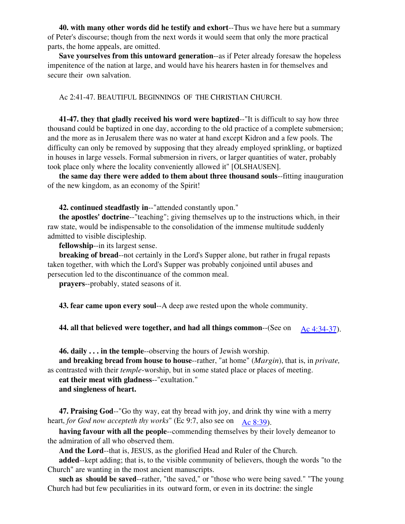**40. with many other words did he testify and exhort**--Thus we have here but a summary of Peter's discourse; though from the next words it would seem that only the more practical parts, the home appeals, are omitted.

 **Save yourselves from this untoward generation**--as if Peter already foresaw the hopeless impenitence of the nation at large, and would have his hearers hasten in for themselves and secure their own salvation.

Ac 2:41-47. BEAUTIFUL BEGINNINGS OF THE CHRISTIAN CHURCH.

 **41-47. they that gladly received his word were baptized**--"It is difficult to say how three thousand could be baptized in one day, according to the old practice of a complete submersion; and the more as in Jerusalem there was no water at hand except Kidron and a few pools. The difficulty can only be removed by supposing that they already employed sprinkling, or baptized in houses in large vessels. Formal submersion in rivers, or larger quantities of water, probably took place only where the locality conveniently allowed it" [OLSHAUSEN].

 **the same day there were added to them about three thousand souls**--fitting inauguration of the new kingdom, as an economy of the Spirit!

**42. continued steadfastly in**--"attended constantly upon."

 **the apostles' doctrine**--"teaching"; giving themselves up to the instructions which, in their raw state, would be indispensable to the consolidation of the immense multitude suddenly admitted to visible discipleship.

**fellowship**--in its largest sense.

 **breaking of bread**--not certainly in the Lord's Supper alone, but rather in frugal repasts taken together, with which the Lord's Supper was probably conjoined until abuses and persecution led to the discontinuance of the common meal.

**prayers**--probably, stated seasons of it.

**43. fear came upon every soul**--A deep awe rested upon the whole community.

Ac 4:34-37). **44. all that believed were together, and had all things common**--(See on

**46. daily . . . in the temple**--observing the hours of Jewish worship.

 **and breaking bread from house to house**--rather, "at home" (*Margin*), that is, in *private,* as contrasted with their *temple*-worship, but in some stated place or places of meeting.

**eat their meat with gladness**--"exultation."

**and singleness of heart.**

Ac 8:39). **47. Praising God**--"Go thy way, eat thy bread with joy, and drink thy wine with a merry heart, *for God now accepteth thy works*" (Ec 9:7, also see on

 **having favour with all the people**--commending themselves by their lovely demeanor to the admiration of all who observed them.

**And the Lord**--that is, JESUS, as the glorified Head and Ruler of the Church.

 **added**--kept adding; that is, to the visible community of believers, though the words "to the Church" are wanting in the most ancient manuscripts.

 **such as should be saved**--rather, "the saved," or "those who were being saved." "The young Church had but few peculiarities in its outward form, or even in its doctrine: the single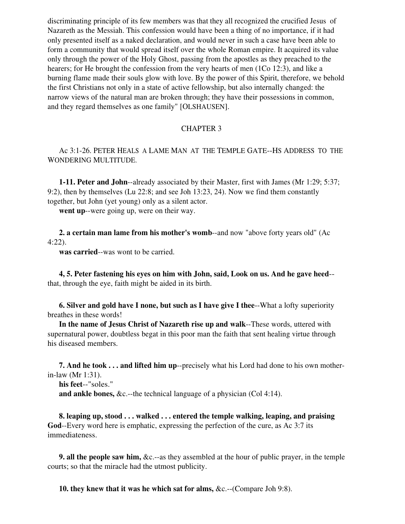discriminating principle of its few members was that they all recognized the crucified Jesus of Nazareth as the Messiah. This confession would have been a thing of no importance, if it had only presented itself as a naked declaration, and would never in such a case have been able to form a community that would spread itself over the whole Roman empire. It acquired its value only through the power of the Holy Ghost, passing from the apostles as they preached to the hearers; for He brought the confession from the very hearts of men (1Co 12:3), and like a burning flame made their souls glow with love. By the power of this Spirit, therefore, we behold the first Christians not only in a state of active fellowship, but also internally changed: the narrow views of the natural man are broken through; they have their possessions in common, and they regard themselves as one family" [OLSHAUSEN].

### CHAPTER 3

# Ac 3:1-26. PETER HEALS A LAME MAN AT THE TEMPLE GATE--HS ADDRESS TO THE WONDERING MULTITUDE.

 **1-11. Peter and John**--already associated by their Master, first with James (Mr 1:29; 5:37; 9:2), then by themselves (Lu 22:8; and see Joh 13:23, 24). Now we find them constantly together, but John (yet young) only as a silent actor.

**went up**--were going up, were on their way.

 **2. a certain man lame from his mother's womb**--and now "above forty years old" (Ac 4:22).

**was carried**--was wont to be carried.

 **4, 5. Peter fastening his eyes on him with John, said, Look on us. And he gave heed**- that, through the eye, faith might be aided in its birth.

 **6. Silver and gold have I none, but such as I have give I thee**--What a lofty superiority breathes in these words!

 **In the name of Jesus Christ of Nazareth rise up and walk**--These words, uttered with supernatural power, doubtless begat in this poor man the faith that sent healing virtue through his diseased members.

 **7. And he took . . . and lifted him up**--precisely what his Lord had done to his own motherin-law (Mr 1:31).

 **his feet**--"soles." **and ankle bones,** &c.--the technical language of a physician (Col 4:14).

 **8. leaping up, stood . . . walked . . . entered the temple walking, leaping, and praising God**--Every word here is emphatic, expressing the perfection of the cure, as Ac 3:7 its immediateness.

 **9. all the people saw him,** &c.--as they assembled at the hour of public prayer, in the temple courts; so that the miracle had the utmost publicity.

**10. they knew that it was he which sat for alms,** &c.--(Compare Joh 9:8).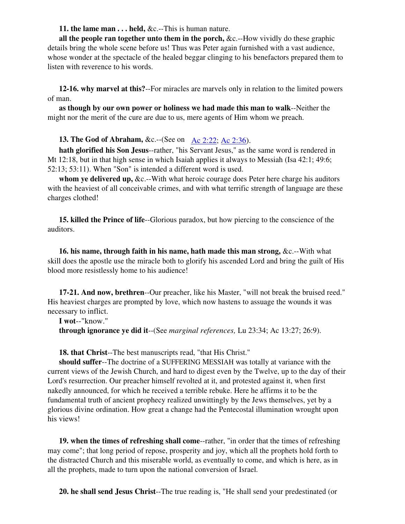**11. the lame man . . . held,** &c.--This is human nature.

 **all the people ran together unto them in the porch,** &c.--How vividly do these graphic details bring the whole scene before us! Thus was Peter again furnished with a vast audience, whose wonder at the spectacle of the healed beggar clinging to his benefactors prepared them to listen with reverence to his words.

 **12-16. why marvel at this?**--For miracles are marvels only in relation to the limited powers of man.

 **as though by our own power or holiness we had made this man to walk**--Neither the might nor the merit of the cure are due to us, mere agents of Him whom we preach.

**13. The God of Abraham,** &c.--(See on **Ac 2:22; Ac 2:36)**.

 **hath glorified his Son Jesus**--rather, "his Servant Jesus," as the same word is rendered in Mt 12:18, but in that high sense in which Isaiah applies it always to Messiah (Isa 42:1; 49:6; 52:13; 53:11). When "Son" is intended a different word is used.

 **whom ye delivered up,** &c.--With what heroic courage does Peter here charge his auditors with the heaviest of all conceivable crimes, and with what terrific strength of language are these charges clothed!

 **15. killed the Prince of life**--Glorious paradox, but how piercing to the conscience of the auditors.

 **16. his name, through faith in his name, hath made this man strong,** &c.--With what skill does the apostle use the miracle both to glorify his ascended Lord and bring the guilt of His blood more resistlessly home to his audience!

 **17-21. And now, brethren**--Our preacher, like his Master, "will not break the bruised reed." His heaviest charges are prompted by love, which now hastens to assuage the wounds it was necessary to inflict.

 **I wot**--"know." **through ignorance ye did it**--(See *marginal references,* Lu 23:34; Ac 13:27; 26:9).

**18. that Christ**--The best manuscripts read, "that His Christ."

 **should suffer**--The doctrine of a SUFFERING MESSIAH was totally at variance with the current views of the Jewish Church, and hard to digest even by the Twelve, up to the day of their Lord's resurrection. Our preacher himself revolted at it, and protested against it, when first nakedly announced, for which he received a terrible rebuke. Here he affirms it to be the fundamental truth of ancient prophecy realized unwittingly by the Jews themselves, yet by a glorious divine ordination. How great a change had the Pentecostal illumination wrought upon his views!

 **19. when the times of refreshing shall come**--rather, "in order that the times of refreshing may come"; that long period of repose, prosperity and joy, which all the prophets hold forth to the distracted Church and this miserable world, as eventually to come, and which is here, as in all the prophets, made to turn upon the national conversion of Israel.

**20. he shall send Jesus Christ**--The true reading is, "He shall send your predestinated (or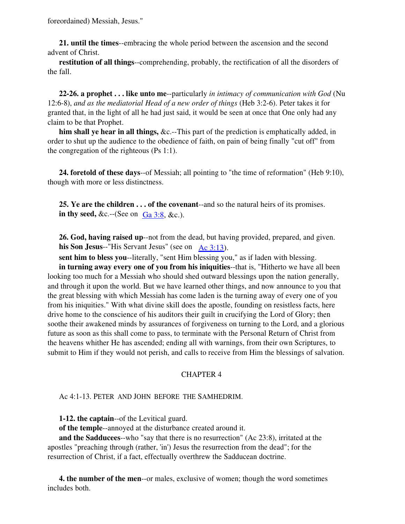foreordained) Messiah, Jesus."

 **21. until the times**--embracing the whole period between the ascension and the second advent of Christ.

 **restitution of all things**--comprehending, probably, the rectification of all the disorders of the fall.

 **22-26. a prophet . . . like unto me**--particularly *in intimacy of communication with God* (Nu 12:6-8), *and as the mediatorial Head of a new order of things* (Heb 3:2-6). Peter takes it for granted that, in the light of all he had just said, it would be seen at once that One only had any claim to be that Prophet.

 **him shall ye hear in all things,** &c.--This part of the prediction is emphatically added, in order to shut up the audience to the obedience of faith, on pain of being finally "cut off" from the congregation of the righteous (Ps 1:1).

 **24. foretold of these days**--of Messiah; all pointing to "the time of reformation" (Heb 9:10), though with more or less distinctness.

in thy seed,  $&c$ . --(See on  $Ga\ 3:8$ ,  $&c$ .). **25. Ye are the children . . . of the covenant**--and so the natural heirs of its promises.

**his Son Jesus**--"His Servant Jesus" (see on **Ac 3:13**). **26. God, having raised up**--not from the dead, but having provided, prepared, and given.

**sent him to bless you**--literally, "sent Him blessing you," as if laden with blessing.

 **in turning away every one of you from his iniquities**--that is, "Hitherto we have all been looking too much for a Messiah who should shed outward blessings upon the nation generally, and through it upon the world. But we have learned other things, and now announce to you that the great blessing with which Messiah has come laden is the turning away of every one of you from his iniquities." With what divine skill does the apostle, founding on resistless facts, here drive home to the conscience of his auditors their guilt in crucifying the Lord of Glory; then soothe their awakened minds by assurances of forgiveness on turning to the Lord, and a glorious future as soon as this shall come to pass, to terminate with the Personal Return of Christ from the heavens whither He has ascended; ending all with warnings, from their own Scriptures, to submit to Him if they would not perish, and calls to receive from Him the blessings of salvation.

# CHAPTER 4

Ac 4:1-13. PETER AND JOHN BEFORE THE SAMHEDRIM.

**1-12. the captain**--of the Levitical guard.

**of the temple**--annoyed at the disturbance created around it.

 **and the Sadducees**--who "say that there is no resurrection" (Ac 23:8), irritated at the apostles "preaching through (rather, 'in') Jesus the resurrection from the dead"; for the resurrection of Christ, if a fact, effectually overthrew the Sadducean doctrine.

 **4. the number of the men**--or males, exclusive of women; though the word sometimes includes both.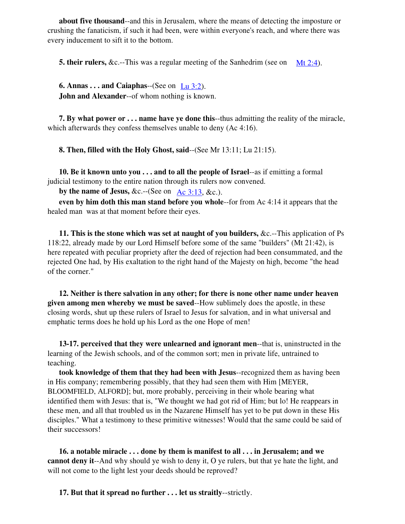**about five thousand**--and this in Jerusalem, where the means of detecting the imposture or crushing the fanaticism, if such it had been, were within everyone's reach, and where there was every inducement to sift it to the bottom.

**5. their rulers,** &c.--This was a regular meeting of the Sanhedrim (see on  $Mt$  2:4).

**6. Annas . . . and Caiaphas**--(See on  $\text{Lu } 3:2$ ). **John and Alexander**--of whom nothing is known.

 **7. By what power or . . . name have ye done this**--thus admitting the reality of the miracle, which afterwards they confess themselves unable to deny (Ac 4:16).

**8. Then, filled with the Holy Ghost, said**--(See Mr 13:11; Lu 21:15).

 **10. Be it known unto you . . . and to all the people of Israel**--as if emitting a formal judicial testimony to the entire nation through its rulers now convened.

**by the name of Jesus,** &c.--(See on  $\underline{Ac}\,3:13$ , &c.).

 **even by him doth this man stand before you whole**--for from Ac 4:14 it appears that the healed man was at that moment before their eyes.

 **11. This is the stone which was set at naught of you builders,** &c.--This application of Ps 118:22, already made by our Lord Himself before some of the same "builders" (Mt 21:42), is here repeated with peculiar propriety after the deed of rejection had been consummated, and the rejected One had, by His exaltation to the right hand of the Majesty on high, become "the head of the corner."

 **12. Neither is there salvation in any other; for there is none other name under heaven given among men whereby we must be saved**--How sublimely does the apostle, in these closing words, shut up these rulers of Israel to Jesus for salvation, and in what universal and emphatic terms does he hold up his Lord as the one Hope of men!

 **13-17. perceived that they were unlearned and ignorant men**--that is, uninstructed in the learning of the Jewish schools, and of the common sort; men in private life, untrained to teaching.

 **took knowledge of them that they had been with Jesus**--recognized them as having been in His company; remembering possibly, that they had seen them with Him [MEYER, BLOOMFIELD, ALFORD]; but, more probably, perceiving in their whole bearing what identified them with Jesus: that is, "We thought we had got rid of Him; but lo! He reappears in these men, and all that troubled us in the Nazarene Himself has yet to be put down in these His disciples." What a testimony to these primitive witnesses! Would that the same could be said of their successors!

 **16. a notable miracle . . . done by them is manifest to all . . . in Jerusalem; and we cannot deny it**--And why should ye wish to deny it, O ye rulers, but that ye hate the light, and will not come to the light lest your deeds should be reproved?

**17. But that it spread no further . . . let us straitly**--strictly.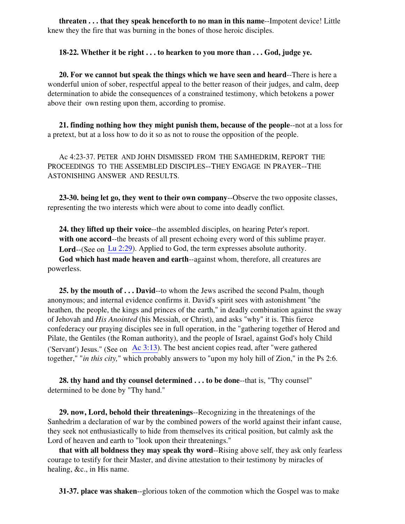**threaten . . . that they speak henceforth to no man in this name**--Impotent device! Little knew they the fire that was burning in the bones of those heroic disciples.

## **18-22. Whether it be right . . . to hearken to you more than . . . God, judge ye.**

 **20. For we cannot but speak the things which we have seen and heard**--There is here a wonderful union of sober, respectful appeal to the better reason of their judges, and calm, deep determination to abide the consequences of a constrained testimony, which betokens a power above their own resting upon them, according to promise.

 **21. finding nothing how they might punish them, because of the people**--not at a loss for a pretext, but at a loss how to do it so as not to rouse the opposition of the people.

 Ac 4:23-37. PETER AND JOHN DISMISSED FROM THE SAMHEDRIM, REPORT THE PROCEEDINGS TO THE ASSEMBLED DISCIPLES--THEY ENGAGE IN PRAYER--THE ASTONISHING ANSWER AND RESULTS.

 **23-30. being let go, they went to their own company**--Observe the two opposite classes, representing the two interests which were about to come into deadly conflict.

Lord--(See on <u>Lu 2:29</u>). Applied to God, the term expresses absolute authority. **24. they lifted up their voice**--the assembled disciples, on hearing Peter's report. **with one accord**--the breasts of all present echoing every word of this sublime prayer. **God which hast made heaven and earth**--against whom, therefore, all creatures are powerless.

('Servant') Jesus." (See on  $\overline{Ac\ 3:13}$ ). The best ancient copies read, after "were gathered **25. by the mouth of . . . David**--to whom the Jews ascribed the second Psalm, though anonymous; and internal evidence confirms it. David's spirit sees with astonishment "the heathen, the people, the kings and princes of the earth," in deadly combination against the sway of Jehovah and *His Anointed* (his Messiah, or Christ), and asks "why" it is. This fierce confederacy our praying disciples see in full operation, in the "gathering together of Herod and Pilate, the Gentiles (the Roman authority), and the people of Israel, against God's holy Child together," "*in this city,*" which probably answers to "upon my holy hill of Zion," in the Ps 2:6.

 **28. thy hand and thy counsel determined . . . to be done**--that is, "Thy counsel" determined to be done by "Thy hand."

 **29. now, Lord, behold their threatenings**--Recognizing in the threatenings of the Sanhedrim a declaration of war by the combined powers of the world against their infant cause, they seek not enthusiastically to hide from themselves its critical position, but calmly ask the Lord of heaven and earth to "look upon their threatenings."

 **that with all boldness they may speak thy word**--Rising above self, they ask only fearless courage to testify for their Master, and divine attestation to their testimony by miracles of healing, &c., in His name.

**31-37. place was shaken**--glorious token of the commotion which the Gospel was to make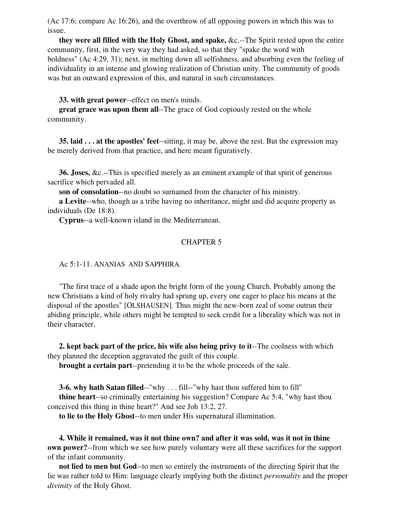(Ac 17:6; compare Ac 16:26), and the overthrow of all opposing powers in which this was to issue.

 **they were all filled with the Holy Ghost, and spake,** &c.--The Spirit rested upon the entire community, first, in the very way they had asked, so that they "spake the word with boldness" (Ac 4:29, 31); next, in melting down all selfishness, and absorbing even the feeling of individuality in an intense and glowing realization of Christian unity. The community of goods was but an outward expression of this, and natural in such circumstances.

### **33. with great power**--effect on men's minds.

**great grace was upon them all--The grace of God copiously rested on the whole** community.

 **35. laid . . . at the apostles' feet**--sitting, it may be, above the rest. But the expression may be merely derived from that practice, and here meant figuratively.

 **36. Joses,** &c.--This is specified merely as an eminent example of that spirit of generous sacrifice which pervaded all.

**son of consolation**--no doubt so surnamed from the character of his ministry.

 **a Levite**--who, though as a tribe having no inheritance, might and did acquire property as individuals (De 18:8).

**Cyprus**--a well-known island in the Mediterranean.

# CHAPTER 5

Ac 5:1-11. ANANIAS AND SAPPHIRA.

 "The first trace of a shade upon the bright form of the young Church. Probably among the new Christians a kind of holy rivalry had sprung up, every one eager to place his means at the disposal of the apostles" [OLSHAUSEN]. Thus might the new-born zeal of some outrun their abiding principle, while others might be tempted to seek credit for a liberality which was not in their character.

 **2. kept back part of the price, his wife also being privy to it**--The coolness with which they planned the deception aggravated the guilt of this couple.

**brought a certain part**--pretending it to be the whole proceeds of the sale.

 **3-6. why hath Satan filled**--"why . . . fill--"why hast thou suffered him to fill" **thine heart**--so criminally entertaining his suggestion? Compare Ac 5:4, "why hast thou

conceived this thing in thine heart?" And see Joh 13:2, 27. **to lie to the Holy Ghost**--to men under His supernatural illumination.

 **4. While it remained, was it not thine own? and after it was sold, was it not in thine own power?**--from which we see how purely voluntary were all these sacrifices for the support of the infant community.

 **not lied to men but God**--to men so entirely the instruments of the directing Spirit that the lie was rather told to Him: language clearly implying both the distinct *personality* and the proper *divinity* of the Holy Ghost.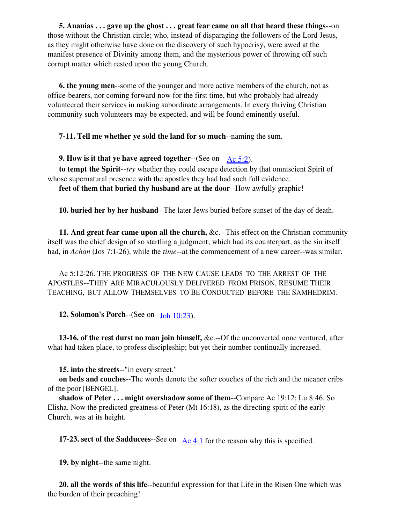**5. Ananias . . . gave up the ghost . . . great fear came on all that heard these things**--on those without the Christian circle; who, instead of disparaging the followers of the Lord Jesus, as they might otherwise have done on the discovery of such hypocrisy, were awed at the manifest presence of Divinity among them, and the mysterious power of throwing off such corrupt matter which rested upon the young Church.

 **6. the young men**--some of the younger and more active members of the church, not as office-bearers, nor coming forward now for the first time, but who probably had already volunteered their services in making subordinate arrangements. In every thriving Christian community such volunteers may be expected, and will be found eminently useful.

**7-11. Tell me whether ye sold the land for so much**--naming the sum.

**9. How is it that ye have agreed together--(See on**  $\Delta c$  5:2).

 **to tempt the Spirit**--*try* whether they could escape detection by that omniscient Spirit of whose supernatural presence with the apostles they had had such full evidence.

**feet of them that buried thy husband are at the door**--How awfully graphic!

**10. buried her by her husband**--The later Jews buried before sunset of the day of death.

 **11. And great fear came upon all the church,** &c.--This effect on the Christian community itself was the chief design of so startling a judgment; which had its counterpart, as the sin itself had, in *Achan* (Jos 7:1-26), while the *time*--at the commencement of a new career--was similar.

 Ac 5:12-26. THE PROGRESS OF THE NEW CAUSE LEADS TO THE ARREST OF THE APOSTLES--THEY ARE MIRACULOUSLY DELIVERED FROM PRISON, RESUME THEIR TEACHING, BUT ALLOW THEMSELVES TO BE CONDUCTED BEFORE THE SAMHEDRIM.

**12. Solomon's Porch**--(See on **Joh 10:23**).

 **13-16. of the rest durst no man join himself,** &c.--Of the unconverted none ventured, after what had taken place, to profess discipleship; but yet their number continually increased.

**15. into the streets**--"in every street."

 **on beds and couches**--The words denote the softer couches of the rich and the meaner cribs of the poor [BENGEL].

 **shadow of Peter . . . might overshadow some of them**--Compare Ac 19:12; Lu 8:46. So Elisha. Now the predicted greatness of Peter (Mt 16:18), as the directing spirit of the early Church, was at its height.

**17-23. sect of the Sadducees**--See on  $\overline{Ac 4:1}$  for the reason why this is specified.

**19. by night**--the same night.

 **20. all the words of this life**--beautiful expression for that Life in the Risen One which was the burden of their preaching!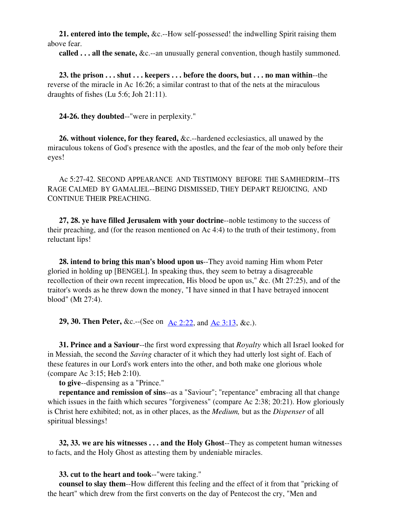**21. entered into the temple,** &c.--How self-possessed! the indwelling Spirit raising them above fear.

**called . . . all the senate,** &c.--an unusually general convention, though hastily summoned.

 **23. the prison . . . shut . . . keepers . . . before the doors, but . . . no man within**--the reverse of the miracle in Ac 16:26; a similar contrast to that of the nets at the miraculous draughts of fishes (Lu 5:6; Joh 21:11).

**24-26. they doubted**--"were in perplexity."

 **26. without violence, for they feared,** &c.--hardened ecclesiastics, all unawed by the miraculous tokens of God's presence with the apostles, and the fear of the mob only before their eyes!

 Ac 5:27-42. SECOND APPEARANCE AND TESTIMONY BEFORE THE SAMHEDRIM--ITS RAGE CALMED BY GAMALIEL--BEING DISMISSED, THEY DEPART REJOICING, AND CONTINUE THEIR PREACHING.

 **27, 28. ye have filled Jerusalem with your doctrine**--noble testimony to the success of their preaching, and (for the reason mentioned on Ac 4:4) to the truth of their testimony, from reluctant lips!

 **28. intend to bring this man's blood upon us**--They avoid naming Him whom Peter gloried in holding up [BENGEL]. In speaking thus, they seem to betray a disagreeable recollection of their own recent imprecation, His blood be upon us," &c. (Mt 27:25), and of the traitor's words as he threw down the money, "I have sinned in that I have betrayed innocent blood" (Mt 27:4).

**29, 30. Then Peter,** &c.--(See on  $\underline{Ac}$  2:22, and  $\underline{Ac}$  3:13, &c.).

 **31. Prince and a Saviour**--the first word expressing that *Royalty* which all Israel looked for in Messiah, the second the *Saving* character of it which they had utterly lost sight of. Each of these features in our Lord's work enters into the other, and both make one glorious whole (compare Ac 3:15; Heb 2:10).

**to give**--dispensing as a "Prince."

 **repentance and remission of sins**--as a "Saviour"; "repentance" embracing all that change which issues in the faith which secures "forgiveness" (compare Ac 2:38; 20:21). How gloriously is Christ here exhibited; not, as in other places, as the *Medium,* but as the *Dispenser* of all spiritual blessings!

 **32, 33. we are his witnesses . . . and the Holy Ghost**--They as competent human witnesses to facts, and the Holy Ghost as attesting them by undeniable miracles.

**33. cut to the heart and took**--"were taking."

 **counsel to slay them**--How different this feeling and the effect of it from that "pricking of the heart" which drew from the first converts on the day of Pentecost the cry, "Men and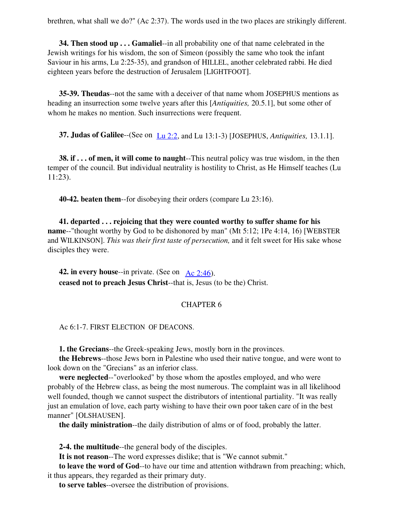brethren, what shall we do?" (Ac 2:37). The words used in the two places are strikingly different.

 **34. Then stood up . . . Gamaliel**--in all probability one of that name celebrated in the Jewish writings for his wisdom, the son of Simeon (possibly the same who took the infant Saviour in his arms, Lu 2:25-35), and grandson of HILLEL, another celebrated rabbi. He died eighteen years before the destruction of Jerusalem [LIGHTFOOT].

 **35-39. Theudas**--not the same with a deceiver of that name whom JOSEPHUS mentions as heading an insurrection some twelve years after this [*Antiquities,* 20.5.1], but some other of whom he makes no mention. Such insurrections were frequent.

**37. Judas of Galilee**--(See on  $\mu$  2:2, and Lu 13:1-3) [JOSEPHUS, *Antiquities*, 13.1.1].

 **38. if . . . of men, it will come to naught**--This neutral policy was true wisdom, in the then temper of the council. But individual neutrality is hostility to Christ, as He Himself teaches (Lu 11:23).

**40-42. beaten them**--for disobeying their orders (compare Lu 23:16).

 **41. departed . . . rejoicing that they were counted worthy to suffer shame for his name**--"thought worthy by God to be dishonored by man" (Mt 5:12; 1Pe 4:14, 16) [WEBSTER and WILKINSON]. *This was their first taste of persecution,* and it felt sweet for His sake whose disciples they were.

**42. in every house**--in private. (See on  $\underline{Ac 2:46}$ ). **ceased not to preach Jesus Christ**--that is, Jesus (to be the) Christ.

### CHAPTER 6

Ac 6:1-7. FIRST ELECTION OF DEACONS.

**1. the Grecians**--the Greek-speaking Jews, mostly born in the provinces.

 **the Hebrews**--those Jews born in Palestine who used their native tongue, and were wont to look down on the "Grecians" as an inferior class.

 **were neglected**--"overlooked" by those whom the apostles employed, and who were probably of the Hebrew class, as being the most numerous. The complaint was in all likelihood well founded, though we cannot suspect the distributors of intentional partiality. "It was really just an emulation of love, each party wishing to have their own poor taken care of in the best manner" [OLSHAUSEN].

**the daily ministration**--the daily distribution of alms or of food, probably the latter.

**2-4. the multitude**--the general body of the disciples.

**It is not reason**--The word expresses dislike; that is "We cannot submit."

 **to leave the word of God**--to have our time and attention withdrawn from preaching; which, it thus appears, they regarded as their primary duty.

**to serve tables**--oversee the distribution of provisions.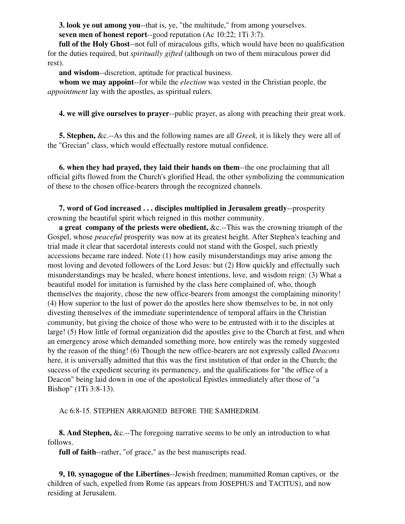**3. look ye out among you**--that is, ye, "the multitude," from among yourselves. **seven men of honest report**--good reputation (Ac 10:22; 1Ti 3:7).

 **full of the Holy Ghost**--not full of miraculous gifts, which would have been no qualification for the duties required, but *spiritually gifted* (although on two of them miraculous power did rest).

**and wisdom**--discretion, aptitude for practical business.

 **whom we may appoint**--for while the *election* was vested in the Christian people, the *appointment* lay with the apostles, as spiritual rulers.

**4. we will give ourselves to prayer**--public prayer, as along with preaching their great work.

 **5. Stephen,** &c.--As this and the following names are all *Greek,* it is likely they were all of the "Grecian" class, which would effectually restore mutual confidence.

 **6. when they had prayed, they laid their hands on them**--the one proclaiming that all official gifts flowed from the Church's glorified Head, the other symbolizing the communication of these to the chosen office-bearers through the recognized channels.

 **7. word of God increased . . . disciples multiplied in Jerusalem greatly**--prosperity crowning the beautiful spirit which reigned in this mother community.

 **a great company of the priests were obedient,** &c.--This was the crowning triumph of the Gospel, whose *peaceful* prosperity was now at its greatest height. After Stephen's teaching and trial made it clear that sacerdotal interests could not stand with the Gospel, such priestly accessions became rare indeed. Note (1) how easily misunderstandings may arise among the most loving and devoted followers of the Lord Jesus: but (2) How quickly and effectually such misunderstandings may be healed, where honest intentions, love, and wisdom reign: (3) What a beautiful model for imitation is furnished by the class here complained of, who, though themselves the majority, chose the new office-bearers from amongst the complaining minority! (4) How superior to the lust of power do the apostles here show themselves to be, in not only divesting themselves of the immediate superintendence of temporal affairs in the Christian community, but giving the choice of those who were to be entrusted with it to the disciples at large! (5) How little of formal organization did the apostles give to the Church at first, and when an emergency arose which demanded something more, how entirely was the remedy suggested by the reason of the thing! (6) Though the new office-bearers are not expressly called *Deacons* here, it is universally admitted that this was the first institution of that order in the Church; the success of the expedient securing its permanency, and the qualifications for "the office of a Deacon" being laid down in one of the apostolical Epistles immediately after those of "a Bishop" (1Ti 3:8-13).

Ac 6:8-15. STEPHEN ARRAIGNED BEFORE THE SAMHEDRIM.

 **8. And Stephen,** &c.--The foregoing narrative seems to be only an introduction to what follows.

**full of faith**--rather, "of grace," as the best manuscripts read.

 **9, 10. synagogue of the Libertines**--Jewish freedmen; manumitted Roman captives, or the children of such, expelled from Rome (as appears from JOSEPHUS and TACITUS), and now residing at Jerusalem.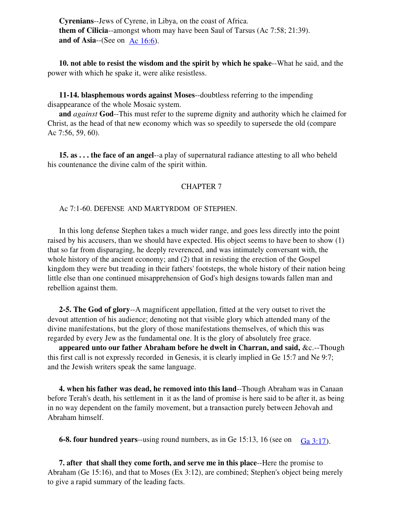and of Asia--(See on  $\underline{Ac 16:6}$ ). **Cyrenians**--Jews of Cyrene, in Libya, on the coast of Africa. **them of Cilicia**--amongst whom may have been Saul of Tarsus (Ac 7:58; 21:39).

 **10. not able to resist the wisdom and the spirit by which he spake**--What he said, and the power with which he spake it, were alike resistless.

 **11-14. blasphemous words against Moses**--doubtless referring to the impending disappearance of the whole Mosaic system.

 **and** *against* **God**--This must refer to the supreme dignity and authority which he claimed for Christ, as the head of that new economy which was so speedily to supersede the old (compare Ac 7:56, 59, 60).

 **15. as . . . the face of an angel**--a play of supernatural radiance attesting to all who beheld his countenance the divine calm of the spirit within.

#### CHAPTER 7

## Ac 7:1-60. DEFENSE AND MARTYRDOM OF STEPHEN.

 In this long defense Stephen takes a much wider range, and goes less directly into the point raised by his accusers, than we should have expected. His object seems to have been to show (1) that so far from disparaging, he deeply reverenced, and was intimately conversant with, the whole history of the ancient economy; and (2) that in resisting the erection of the Gospel kingdom they were but treading in their fathers' footsteps, the whole history of their nation being little else than one continued misapprehension of God's high designs towards fallen man and rebellion against them.

 **2-5. The God of glory**--A magnificent appellation, fitted at the very outset to rivet the devout attention of his audience; denoting not that visible glory which attended many of the divine manifestations, but the glory of those manifestations themselves, of which this was regarded by every Jew as the fundamental one. It is the glory of absolutely free grace.

 **appeared unto our father Abraham before he dwelt in Charran, and said,** &c.--Though this first call is not expressly recorded in Genesis, it is clearly implied in Ge 15:7 and Ne 9:7; and the Jewish writers speak the same language.

 **4. when his father was dead, he removed into this land**--Though Abraham was in Canaan before Terah's death, his settlement in it as the land of promise is here said to be after it, as being in no way dependent on the family movement, but a transaction purely between Jehovah and Abraham himself.

Ga 3:17). **6-8. four hundred years**--using round numbers, as in Ge 15:13, 16 (see on

 **7. after that shall they come forth, and serve me in this place**--Here the promise to Abraham (Ge 15:16), and that to Moses (Ex 3:12), are combined; Stephen's object being merely to give a rapid summary of the leading facts.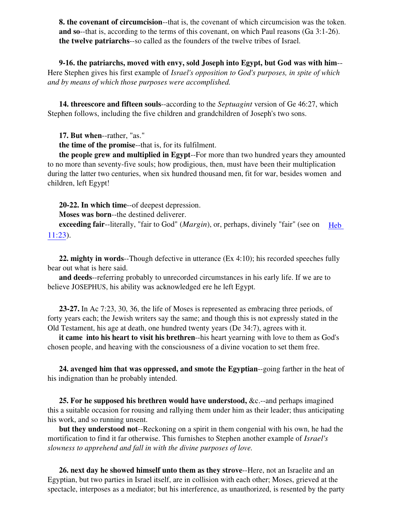**8. the covenant of circumcision**--that is, the covenant of which circumcision was the token. **and so**--that is, according to the terms of this covenant, on which Paul reasons (Ga 3:1-26). **the twelve patriarchs**--so called as the founders of the twelve tribes of Israel.

 **9-16. the patriarchs, moved with envy, sold Joseph into Egypt, but God was with him**-- Here Stephen gives his first example of *Israel's opposition to God's purposes, in spite of which and by means of which those purposes were accomplished.*

 **14. threescore and fifteen souls**--according to the *Septuagint* version of Ge 46:27, which Stephen follows, including the five children and grandchildren of Joseph's two sons.

**17. But when**--rather, "as."

**the time of the promise**--that is, for its fulfilment.

 **the people grew and multiplied in Egypt**--For more than two hundred years they amounted to no more than seventy-five souls; how prodigious, then, must have been their multiplication during the latter two centuries, when six hundred thousand men, fit for war, besides women and children, left Egypt!

**20-22. In which time**--of deepest depression.

**Moses was born**--the destined deliverer.

Heb **exceeding fair**--literally, "fair to God" (*Margin*), or, perhaps, divinely "fair" (see on 11:23).

 **22. mighty in words**--Though defective in utterance (Ex 4:10); his recorded speeches fully bear out what is here said.

 **and deeds**--referring probably to unrecorded circumstances in his early life. If we are to believe JOSEPHUS, his ability was acknowledged ere he left Egypt.

 **23-27.** In Ac 7:23, 30, 36, the life of Moses is represented as embracing three periods, of forty years each; the Jewish writers say the same; and though this is not expressly stated in the Old Testament, his age at death, one hundred twenty years (De 34:7), agrees with it.

 **it came into his heart to visit his brethren**--his heart yearning with love to them as God's chosen people, and heaving with the consciousness of a divine vocation to set them free.

 **24. avenged him that was oppressed, and smote the Egyptian**--going farther in the heat of his indignation than he probably intended.

 **25. For he supposed his brethren would have understood,** &c.--and perhaps imagined this a suitable occasion for rousing and rallying them under him as their leader; thus anticipating his work, and so running unsent.

 **but they understood not**--Reckoning on a spirit in them congenial with his own, he had the mortification to find it far otherwise. This furnishes to Stephen another example of *Israel's slowness to apprehend and fall in with the divine purposes of love.*

 **26. next day he showed himself unto them as they strove**--Here, not an Israelite and an Egyptian, but two parties in Israel itself, are in collision with each other; Moses, grieved at the spectacle, interposes as a mediator; but his interference, as unauthorized, is resented by the party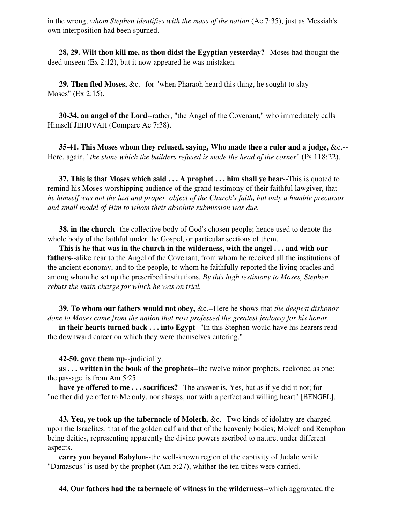in the wrong, *whom Stephen identifies with the mass of the nation* (Ac 7:35), just as Messiah's own interposition had been spurned.

 **28, 29. Wilt thou kill me, as thou didst the Egyptian yesterday?**--Moses had thought the deed unseen (Ex 2:12), but it now appeared he was mistaken.

 **29. Then fled Moses,** &c.--for "when Pharaoh heard this thing, he sought to slay Moses" (Ex 2:15).

 **30-34. an angel of the Lord**--rather, "the Angel of the Covenant," who immediately calls Himself JEHOVAH (Compare Ac 7:38).

 **35-41. This Moses whom they refused, saying, Who made thee a ruler and a judge,** &c.-- Here, again, "*the stone which the builders refused is made the head of the corner*" (Ps 118:22).

**37. This is that Moses which said . . . A prophet . . . him shall ye hear--This is quoted to** remind his Moses-worshipping audience of the grand testimony of their faithful lawgiver, that *he himself was not the last and proper object of the Church's faith, but only a humble precursor and small model of Him to whom their absolute submission was due.*

 **38. in the church**--the collective body of God's chosen people; hence used to denote the whole body of the faithful under the Gospel, or particular sections of them.

 **This is he that was in the church in the wilderness, with the angel . . . and with our fathers**--alike near to the Angel of the Covenant, from whom he received all the institutions of the ancient economy, and to the people, to whom he faithfully reported the living oracles and among whom he set up the prescribed institutions. *By this high testimony to Moses, Stephen rebuts the main charge for which he was on trial.*

 **39. To whom our fathers would not obey,** &c.--Here he shows that *the deepest dishonor done to Moses came from the nation that now professed the greatest jealousy for his honor.*

 **in their hearts turned back . . . into Egypt**--"In this Stephen would have his hearers read the downward career on which they were themselves entering."

# **42-50. gave them up**--judicially.

 **as . . . written in the book of the prophets**--the twelve minor prophets, reckoned as one: the passage is from Am 5:25.

 **have ye offered to me . . . sacrifices?**--The answer is, Yes, but as if ye did it not; for "neither did ye offer to Me only, nor always, nor with a perfect and willing heart" [BENGEL].

 **43. Yea, ye took up the tabernacle of Molech,** &c.--Two kinds of idolatry are charged upon the Israelites: that of the golden calf and that of the heavenly bodies; Molech and Remphan being deities, representing apparently the divine powers ascribed to nature, under different aspects.

 **carry you beyond Babylon**--the well-known region of the captivity of Judah; while "Damascus" is used by the prophet (Am 5:27), whither the ten tribes were carried.

**44. Our fathers had the tabernacle of witness in the wilderness**--which aggravated the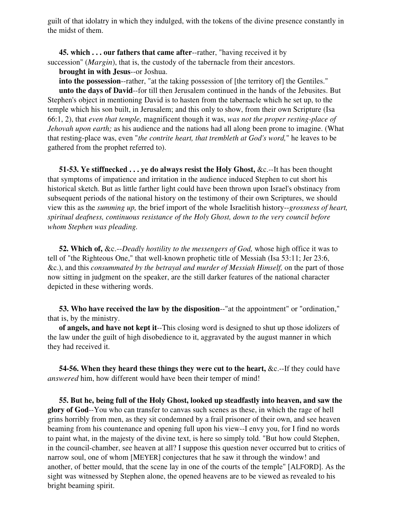guilt of that idolatry in which they indulged, with the tokens of the divine presence constantly in the midst of them.

 **45. which . . . our fathers that came after**--rather, "having received it by succession" (*Margin*), that is, the custody of the tabernacle from their ancestors.

**brought in with Jesus**--or Joshua.

**into the possession**--rather, "at the taking possession of [the territory of] the Gentiles."

 **unto the days of David**--for till then Jerusalem continued in the hands of the Jebusites. But Stephen's object in mentioning David is to hasten from the tabernacle which he set up, to the temple which his son built, in Jerusalem; and this only to show, from their own Scripture (Isa 66:1, 2), that *even that temple,* magnificent though it was, *was not the proper resting-place of Jehovah upon earth;* as his audience and the nations had all along been prone to imagine. (What that resting-place was, even "*the contrite heart, that trembleth at God's word,*" he leaves to be gathered from the prophet referred to).

 **51-53. Ye stiffnecked . . . ye do always resist the Holy Ghost,** &c.--It has been thought that symptoms of impatience and irritation in the audience induced Stephen to cut short his historical sketch. But as little farther light could have been thrown upon Israel's obstinacy from subsequent periods of the national history on the testimony of their own Scriptures, we should view this as the *summing up,* the brief import of the whole Israelitish history--*grossness of heart, spiritual deafness, continuous resistance of the Holy Ghost, down to the very council before whom Stephen was pleading.*

 **52. Which of,** &c.--*Deadly hostility to the messengers of God,* whose high office it was to tell of "the Righteous One," that well-known prophetic title of Messiah (Isa 53:11; Jer 23:6, &c.), and this *consummated by the betrayal and murder of Messiah Himself,* on the part of those now sitting in judgment on the speaker, are the still darker features of the national character depicted in these withering words.

 **53. Who have received the law by the disposition**--"at the appointment" or "ordination," that is, by the ministry.

 **of angels, and have not kept it**--This closing word is designed to shut up those idolizers of the law under the guilt of high disobedience to it, aggravated by the august manner in which they had received it.

 **54-56. When they heard these things they were cut to the heart,** &c.--If they could have *answered* him, how different would have been their temper of mind!

 **55. But he, being full of the Holy Ghost, looked up steadfastly into heaven, and saw the glory of God**--You who can transfer to canvas such scenes as these, in which the rage of hell grins horribly from men, as they sit condemned by a frail prisoner of their own, and see heaven beaming from his countenance and opening full upon his view--I envy you, for I find no words to paint what, in the majesty of the divine text, is here so simply told. "But how could Stephen, in the council-chamber, see heaven at all? I suppose this question never occurred but to critics of narrow soul, one of whom [MEYER] conjectures that he saw it through the window! and another, of better mould, that the scene lay in one of the courts of the temple" [ALFORD]. As the sight was witnessed by Stephen alone, the opened heavens are to be viewed as revealed to his bright beaming spirit.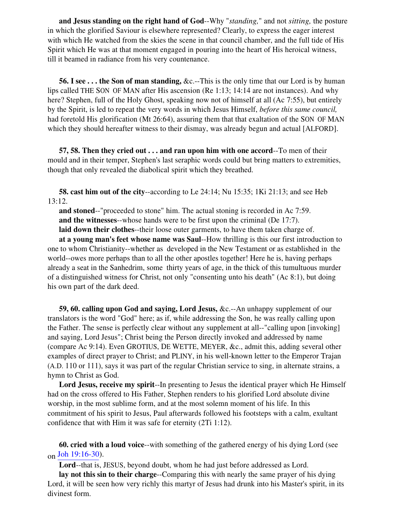**and Jesus standing on the right hand of God**--Why "*standing,*" and not *sitting,* the posture in which the glorified Saviour is elsewhere represented? Clearly, to express the eager interest with which He watched from the skies the scene in that council chamber, and the full tide of His Spirit which He was at that moment engaged in pouring into the heart of His heroical witness, till it beamed in radiance from his very countenance.

**56. I see ... the Son of man standing,** & c. -- This is the only time that our Lord is by human lips called THE SON OF MAN after His ascension (Re 1:13; 14:14 are not instances). And why here? Stephen, full of the Holy Ghost, speaking now not of himself at all (Ac 7:55), but entirely by the Spirit, is led to repeat the very words in which Jesus Himself, *before this same council,* had foretold His glorification (Mt 26:64), assuring them that that exaltation of the SON OF MAN which they should hereafter witness to their dismay, was already begun and actual [ALFORD].

 **57, 58. Then they cried out . . . and ran upon him with one accord**--To men of their mould and in their temper, Stephen's last seraphic words could but bring matters to extremities, though that only revealed the diabolical spirit which they breathed.

 **58. cast him out of the city**--according to Le 24:14; Nu 15:35; 1Ki 21:13; and see Heb 13:12.

 **and stoned**--"proceeded to stone" him. The actual stoning is recorded in Ac 7:59. **and the witnesses**--whose hands were to be first upon the criminal (De 17:7).

**laid down their clothes**--their loose outer garments, to have them taken charge of.

 **at a young man's feet whose name was Saul**--How thrilling is this our first introduction to one to whom Christianity--whether as developed in the New Testament or as established in the world--owes more perhaps than to all the other apostles together! Here he is, having perhaps already a seat in the Sanhedrim, some thirty years of age, in the thick of this tumultuous murder of a distinguished witness for Christ, not only "consenting unto his death" (Ac 8:1), but doing his own part of the dark deed.

 **59, 60. calling upon God and saying, Lord Jesus,** &c.--An unhappy supplement of our translators is the word "God" here; as if, while addressing the Son, he was really calling upon the Father. The sense is perfectly clear without any supplement at all--"calling upon [invoking] and saying, Lord Jesus"; Christ being the Person directly invoked and addressed by name (compare Ac 9:14). Even GROTIUS, DE WETTE, MEYER, &c., admit this, adding several other examples of direct prayer to Christ; and PLINY, in his well-known letter to the Emperor Trajan (A.D. 110 or 111), says it was part of the regular Christian service to sing, in alternate strains, a hymn to Christ as God.

 **Lord Jesus, receive my spirit**--In presenting to Jesus the identical prayer which He Himself had on the cross offered to His Father, Stephen renders to his glorified Lord absolute divine worship, in the most sublime form, and at the most solemn moment of his life. In this commitment of his spirit to Jesus, Paul afterwards followed his footsteps with a calm, exultant confidence that with Him it was safe for eternity (2Ti 1:12).

on Joh 19:16-30). **60. cried with a loud voice**--with something of the gathered energy of his dying Lord (see

**Lord**--that is, JESUS, beyond doubt, whom he had just before addressed as Lord.

 **lay not this sin to their charge**--Comparing this with nearly the same prayer of his dying Lord, it will be seen how very richly this martyr of Jesus had drunk into his Master's spirit, in its divinest form.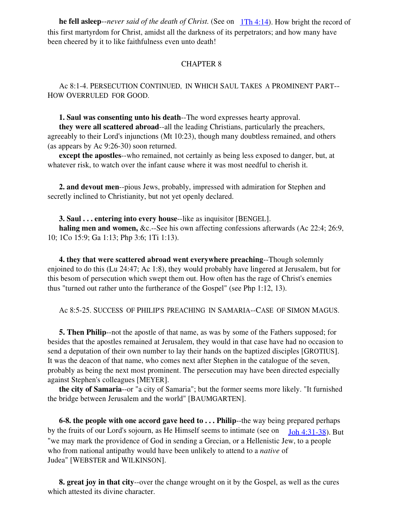**he fell asleep--***never said of the death of Christ*. (See on 1Th 4:14). How bright the record of this first martyrdom for Christ, amidst all the darkness of its perpetrators; and how many have been cheered by it to like faithfulness even unto death!

## CHAPTER 8

# Ac 8:1-4. PERSECUTION CONTINUED, IN WHICH SAUL TAKES A PROMINENT PART-- HOW OVERRULED FOR GOOD.

**1. Saul was consenting unto his death**--The word expresses hearty approval.

 **they were all scattered abroad**--all the leading Christians, particularly the preachers, agreeably to their Lord's injunctions (Mt 10:23), though many doubtless remained, and others (as appears by Ac 9:26-30) soon returned.

 **except the apostles**--who remained, not certainly as being less exposed to danger, but, at whatever risk, to watch over the infant cause where it was most needful to cherish it.

 **2. and devout men**--pious Jews, probably, impressed with admiration for Stephen and secretly inclined to Christianity, but not yet openly declared.

#### **3. Saul . . . entering into every house**--like as inquisitor [BENGEL].

**haling men and women,** &c.--See his own affecting confessions afterwards (Ac 22:4; 26:9, 10; 1Co 15:9; Ga 1:13; Php 3:6; 1Ti 1:13).

 **4. they that were scattered abroad went everywhere preaching**--Though solemnly enjoined to do this (Lu 24:47; Ac 1:8), they would probably have lingered at Jerusalem, but for this besom of persecution which swept them out. How often has the rage of Christ's enemies thus "turned out rather unto the furtherance of the Gospel" (see Php 1:12, 13).

Ac 8:5-25. SUCCESS OF PHILIP'S PREACHING IN SAMARIA--CASE OF SIMON MAGUS.

**5. Then Philip**--not the apostle of that name, as was by some of the Fathers supposed; for besides that the apostles remained at Jerusalem, they would in that case have had no occasion to send a deputation of their own number to lay their hands on the baptized disciples [GROTIUS]. It was the deacon of that name, who comes next after Stephen in the catalogue of the seven, probably as being the next most prominent. The persecution may have been directed especially against Stephen's colleagues [MEYER].

 **the city of Samaria**--or "a city of Samaria"; but the former seems more likely. "It furnished the bridge between Jerusalem and the world" [BAUMGARTEN].

Joh 4:31-38). But **6-8. the people with one accord gave heed to . . . Philip**--the way being prepared perhaps by the fruits of our Lord's sojourn, as He Himself seems to intimate (see on "we may mark the providence of God in sending a Grecian, or a Hellenistic Jew, to a people who from national antipathy would have been unlikely to attend to a *native* of Judea" [WEBSTER and WILKINSON].

 **8. great joy in that city**--over the change wrought on it by the Gospel, as well as the cures which attested its divine character.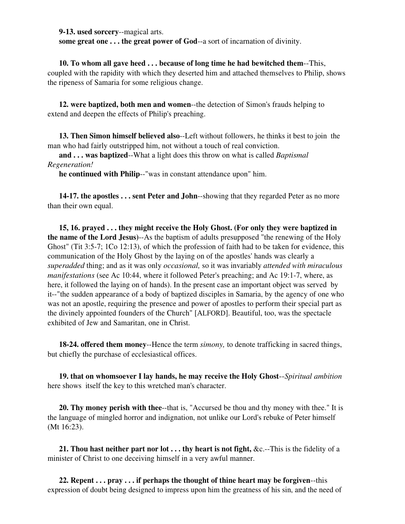**9-13. used sorcery**--magical arts.

**some great one . . . the great power of God**--a sort of incarnation of divinity.

 **10. To whom all gave heed . . . because of long time he had bewitched them**--This, coupled with the rapidity with which they deserted him and attached themselves to Philip, shows the ripeness of Samaria for some religious change.

 **12. were baptized, both men and women**--the detection of Simon's frauds helping to extend and deepen the effects of Philip's preaching.

 **13. Then Simon himself believed also**--Left without followers, he thinks it best to join the man who had fairly outstripped him, not without a touch of real conviction.

 **and . . . was baptized**--What a light does this throw on what is called *Baptismal Regeneration!*

**he continued with Philip**--"was in constant attendance upon" him.

 **14-17. the apostles . . . sent Peter and John**--showing that they regarded Peter as no more than their own equal.

 **15, 16. prayed . . . they might receive the Holy Ghost. (For only they were baptized in the name of the Lord Jesus)**--As the baptism of adults presupposed "the renewing of the Holy Ghost" (Tit 3:5-7; 1Co 12:13), of which the profession of faith had to be taken for evidence, this communication of the Holy Ghost by the laying on of the apostles' hands was clearly a *superadded* thing; and as it was only *occasional,* so it was invariably *attended with miraculous manifestations* (see Ac 10:44, where it followed Peter's preaching; and Ac 19:1-7, where, as here, it followed the laying on of hands). In the present case an important object was served by it--"the sudden appearance of a body of baptized disciples in Samaria, by the agency of one who was not an apostle, requiring the presence and power of apostles to perform their special part as the divinely appointed founders of the Church" [ALFORD]. Beautiful, too, was the spectacle exhibited of Jew and Samaritan, one in Christ.

 **18-24. offered them money**--Hence the term *simony,* to denote trafficking in sacred things, but chiefly the purchase of ecclesiastical offices.

 **19. that on whomsoever I lay hands, he may receive the Holy Ghost**--*Spiritual ambition* here shows itself the key to this wretched man's character.

 **20. Thy money perish with thee**--that is, "Accursed be thou and thy money with thee." It is the language of mingled horror and indignation, not unlike our Lord's rebuke of Peter himself (Mt 16:23).

 **21. Thou hast neither part nor lot . . . thy heart is not fight,** &c.--This is the fidelity of a minister of Christ to one deceiving himself in a very awful manner.

 **22. Repent . . . pray . . . if perhaps the thought of thine heart may be forgiven**--this expression of doubt being designed to impress upon him the greatness of his sin, and the need of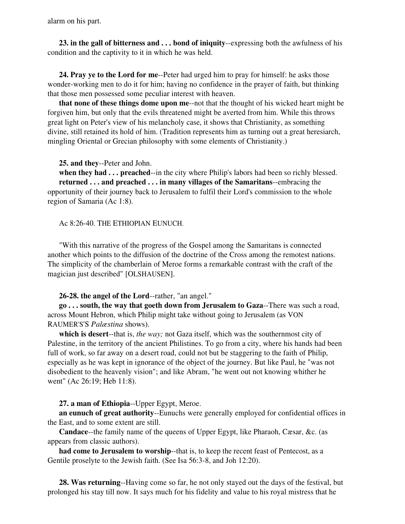alarm on his part.

 **23. in the gall of bitterness and . . . bond of iniquity**--expressing both the awfulness of his condition and the captivity to it in which he was held.

 **24. Pray ye to the Lord for me**--Peter had urged him to pray for himself: he asks those wonder-working men to do it for him; having no confidence in the prayer of faith, but thinking that those men possessed some peculiar interest with heaven.

 **that none of these things dome upon me**--not that the thought of his wicked heart might be forgiven him, but only that the evils threatened might be averted from him. While this throws great light on Peter's view of his melancholy case, it shows that Christianity, as something divine, still retained its hold of him. (Tradition represents him as turning out a great heresiarch, mingling Oriental or Grecian philosophy with some elements of Christianity.)

**25. and they**--Peter and John.

 **when they had . . . preached**--in the city where Philip's labors had been so richly blessed. **returned . . . and preached . . . in many villages of the Samaritans**--embracing the opportunity of their journey back to Jerusalem to fulfil their Lord's commission to the whole region of Samaria (Ac 1:8).

Ac 8:26-40. THE ETHIOPIAN EUNUCH.

 "With this narrative of the progress of the Gospel among the Samaritans is connected another which points to the diffusion of the doctrine of the Cross among the remotest nations. The simplicity of the chamberlain of Meroe forms a remarkable contrast with the craft of the magician just described" [OLSHAUSEN].

**26-28. the angel of the Lord**--rather, "an angel."

 **go . . . south, the way that goeth down from Jerusalem to Gaza**--There was such a road, across Mount Hebron, which Philip might take without going to Jerusalem (as VON RAUMER'S'S *Palæstina* shows).

 **which is desert**--that is, *the way;* not Gaza itself, which was the southernmost city of Palestine, in the territory of the ancient Philistines. To go from a city, where his hands had been full of work, so far away on a desert road, could not but be staggering to the faith of Philip, especially as he was kept in ignorance of the object of the journey. But like Paul, he "was not disobedient to the heavenly vision"; and like Abram, "he went out not knowing whither he went" (Ac 26:19; Heb 11:8).

**27. a man of Ethiopia**--Upper Egypt, Meroe.

 **an eunuch of great authority**--Eunuchs were generally employed for confidential offices in the East, and to some extent are still.

 **Candace**--the family name of the queens of Upper Egypt, like Pharaoh, Cæsar, &c. (as appears from classic authors).

 **had come to Jerusalem to worship**--that is, to keep the recent feast of Pentecost, as a Gentile proselyte to the Jewish faith. (See Isa 56:3-8, and Joh 12:20).

 **28. Was returning**--Having come so far, he not only stayed out the days of the festival, but prolonged his stay till now. It says much for his fidelity and value to his royal mistress that he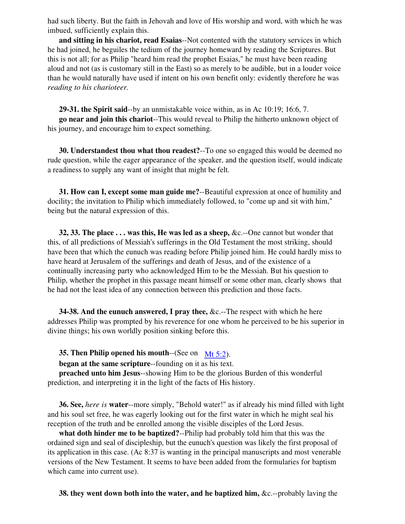had such liberty. But the faith in Jehovah and love of His worship and word, with which he was imbued, sufficiently explain this.

 **and sitting in his chariot, read Esaias**--Not contented with the statutory services in which he had joined, he beguiles the tedium of the journey homeward by reading the Scriptures. But this is not all; for as Philip "heard him read the prophet Esaias," he must have been reading aloud and not (as is customary still in the East) so as merely to be audible, but in a louder voice than he would naturally have used if intent on his own benefit only: evidently therefore he was *reading to his charioteer.* 

 **29-31. the Spirit said**--by an unmistakable voice within, as in Ac 10:19; 16:6, 7. **go near and join this chariot**--This would reveal to Philip the hitherto unknown object of his journey, and encourage him to expect something.

 **30. Understandest thou what thou readest?**--To one so engaged this would be deemed no rude question, while the eager appearance of the speaker, and the question itself, would indicate a readiness to supply any want of insight that might be felt.

 **31. How can I, except some man guide me?**--Beautiful expression at once of humility and docility; the invitation to Philip which immediately followed, to "come up and sit with him," being but the natural expression of this.

 **32, 33. The place . . . was this, He was led as a sheep,** &c.--One cannot but wonder that this, of all predictions of Messiah's sufferings in the Old Testament the most striking, should have been that which the eunuch was reading before Philip joined him. He could hardly miss to have heard at Jerusalem of the sufferings and death of Jesus, and of the existence of a continually increasing party who acknowledged Him to be the Messiah. But his question to Philip, whether the prophet in this passage meant himself or some other man, clearly shows that he had not the least idea of any connection between this prediction and those facts.

 **34-38. And the eunuch answered, I pray thee,** &c.--The respect with which he here addresses Philip was prompted by his reverence for one whom he perceived to be his superior in divine things; his own worldly position sinking before this.

**35. Then Philip opened his mouth**--(See on  $Mt 5:2$ ).</u>

**began at the same scripture**--founding on it as his text.

 **preached unto him Jesus**--showing Him to be the glorious Burden of this wonderful prediction, and interpreting it in the light of the facts of His history.

 **36. See,** *here is* **water**--more simply, "Behold water!" as if already his mind filled with light and his soul set free, he was eagerly looking out for the first water in which he might seal his reception of the truth and be enrolled among the visible disciples of the Lord Jesus.

 **what doth hinder me to be baptized?**--Philip had probably told him that this was the ordained sign and seal of discipleship, but the eunuch's question was likely the first proposal of its application in this case. (Ac 8:37 is wanting in the principal manuscripts and most venerable versions of the New Testament. It seems to have been added from the formularies for baptism which came into current use).

**38. they went down both into the water, and he baptized him,** &c.--probably laving the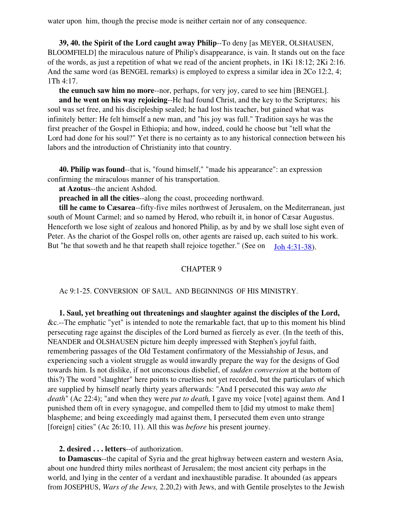water upon him, though the precise mode is neither certain nor of any consequence.

 **39, 40. the Spirit of the Lord caught away Philip**--To deny [as MEYER, OLSHAUSEN, BLOOMFIELD] the miraculous nature of Philip's disappearance, is vain. It stands out on the face of the words, as just a repetition of what we read of the ancient prophets, in 1Ki 18:12; 2Ki 2:16. And the same word (as BENGEL remarks) is employed to express a similar idea in 2Co 12:2, 4; 1Th 4:17.

 **the eunuch saw him no more**--nor, perhaps, for very joy, cared to see him [BENGEL]. **and he went on his way rejoicing**--He had found Christ, and the key to the Scriptures; his soul was set free, and his discipleship sealed; he had lost his teacher, but gained what was infinitely better: He felt himself a new man, and "his joy was full." Tradition says he was the first preacher of the Gospel in Ethiopia; and how, indeed, could he choose but "tell what the Lord had done for his soul?" Yet there is no certainty as to any historical connection between his labors and the introduction of Christianity into that country.

 **40. Philip was found**--that is, "found himself," "made his appearance": an expression confirming the miraculous manner of his transportation.

**at Azotus**--the ancient Ashdod.

**preached in all the cities**--along the coast, proceeding northward.

But "he that soweth and he that reapeth shall rejoice together." (See on Joh 4:31-38). **till he came to Cæsarea**--fifty-five miles northwest of Jerusalem, on the Mediterranean, just south of Mount Carmel; and so named by Herod, who rebuilt it, in honor of Cæsar Augustus. Henceforth we lose sight of zealous and honored Philip, as by and by we shall lose sight even of Peter. As the chariot of the Gospel rolls on, other agents are raised up, each suited to his work.

## CHAPTER 9

## Ac 9:1-25. CONVERSION OF SAUL, AND BEGINNINGS OF HIS MINISTRY.

 **1. Saul, yet breathing out threatenings and slaughter against the disciples of the Lord,** &c.--The emphatic "yet" is intended to note the remarkable fact, that up to this moment his blind persecuting rage against the disciples of the Lord burned as fiercely as ever. (In the teeth of this, NEANDER and OLSHAUSEN picture him deeply impressed with Stephen's joyful faith, remembering passages of the Old Testament confirmatory of the Messiahship of Jesus, and experiencing such a violent struggle as would inwardly prepare the way for the designs of God towards him. Is not dislike, if not unconscious disbelief, of *sudden conversion* at the bottom of this?) The word "slaughter" here points to cruelties not yet recorded, but the particulars of which are supplied by himself nearly thirty years afterwards: "And I persecuted this way *unto the death*" (Ac 22:4); "and when they were *put to death,* I gave my voice [vote] against them. And I punished them oft in every synagogue, and compelled them to [did my utmost to make them] blaspheme; and being exceedingly mad against them, I persecuted them even unto strange [foreign] cities" (Ac 26:10, 11). All this was *before* his present journey.

#### **2. desired . . . letters**--of authorization.

 **to Damascus**--the capital of Syria and the great highway between eastern and western Asia, about one hundred thirty miles northeast of Jerusalem; the most ancient city perhaps in the world, and lying in the center of a verdant and inexhaustible paradise. It abounded (as appears from JOSEPHUS, *Wars of the Jews,* 2.20,2) with Jews, and with Gentile proselytes to the Jewish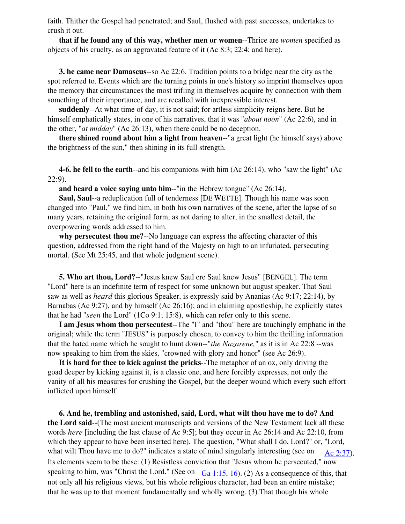faith. Thither the Gospel had penetrated; and Saul, flushed with past successes, undertakes to crush it out.

 **that if he found any of this way, whether men or women**--Thrice are *women* specified as objects of his cruelty, as an aggravated feature of it (Ac 8:3; 22:4; and here).

 **3. he came near Damascus**--so Ac 22:6. Tradition points to a bridge near the city as the spot referred to. Events which are the turning points in one's history so imprint themselves upon the memory that circumstances the most trifling in themselves acquire by connection with them something of their importance, and are recalled with inexpressible interest.

 **suddenly**--At what time of day, it is not said; for artless simplicity reigns here. But he himself emphatically states, in one of his narratives, that it was "*about noon*" (Ac 22:6), and in the other, "*at midday*" (Ac 26:13), when there could be no deception.

 **there shined round about him a light from heaven**--"a great light (he himself says) above the brightness of the sun," then shining in its full strength.

 **4-6. he fell to the earth**--and his companions with him (Ac 26:14), who "saw the light" (Ac 22:9).

**and heard a voice saying unto him**--"in the Hebrew tongue" (Ac 26:14).

 **Saul, Saul**--a reduplication full of tenderness [DE WETTE]. Though his name was soon changed into "Paul," we find him, in both his own narratives of the scene, after the lapse of so many years, retaining the original form, as not daring to alter, in the smallest detail, the overpowering words addressed to him.

 **why persecutest thou me?**--No language can express the affecting character of this question, addressed from the right hand of the Majesty on high to an infuriated, persecuting mortal. (See Mt 25:45, and that whole judgment scene).

 **5. Who art thou, Lord?**--"Jesus knew Saul ere Saul knew Jesus" [BENGEL]. The term "Lord" here is an indefinite term of respect for some unknown but august speaker. That Saul saw as well as *heard* this glorious Speaker, is expressly said by Ananias (Ac 9:17; 22:14), by Barnabas (Ac 9:27), and by himself (Ac 26:16); and in claiming apostleship, he explicitly states that he had "*seen* the Lord" (1Co 9:1; 15:8), which can refer only to this scene.

 **I am Jesus whom thou persecutest**--The "I" and "thou" here are touchingly emphatic in the original; while the term "JESUS" is purposely chosen, to convey to him the thrilling information that the hated name which he sought to hunt down--"*the Nazarene,*" as it is in Ac 22:8 --was now speaking to him from the skies, "crowned with glory and honor" (see Ac 26:9).

 **It is hard for thee to kick against the pricks**--The metaphor of an ox, only driving the goad deeper by kicking against it, is a classic one, and here forcibly expresses, not only the vanity of all his measures for crushing the Gospel, but the deeper wound which every such effort inflicted upon himself.

Ac 2:37). speaking to him, was "Christ the Lord." (See on  $\frac{Ga\ 1:15, 16}$ ). (2) As a consequence of this, that **6. And he, trembling and astonished, said, Lord, what wilt thou have me to do? And the Lord said**--(The most ancient manuscripts and versions of the New Testament lack all these words *here* [including the last clause of Ac 9:5]; but they occur in Ac 26:14 and Ac 22:10, from which they appear to have been inserted here). The question, "What shall I do, Lord?" or, "Lord, what wilt Thou have me to do?" indicates a state of mind singularly interesting (see on Its elements seem to be these: (1) Resistless conviction that "Jesus whom he persecuted," now not only all his religious views, but his whole religious character, had been an entire mistake; that he was up to that moment fundamentally and wholly wrong. (3) That though his whole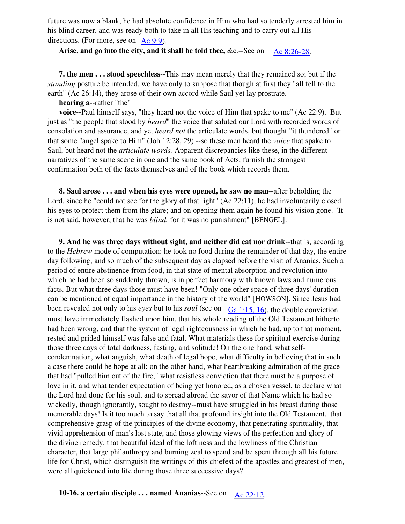directions. (For more, see on  $\underline{Ac}$  9:9). future was now a blank, he had absolute confidence in Him who had so tenderly arrested him in his blind career, and was ready both to take in all His teaching and to carry out all His

Arise, and go into the city, and it shall be told thee,  $&c$ .--See on  $\underline{Ac 8:26-28}$ .

 **7. the men . . . stood speechless**--This may mean merely that they remained so; but if the *standing* posture be intended, we have only to suppose that though at first they "all fell to the earth" (Ac 26:14), they arose of their own accord while Saul yet lay prostrate.

**hearing a**--rather "the"

 **voice**--Paul himself says, "they heard not the voice of Him that spake to me" (Ac 22:9). But just as "the people that stood by *heard*" the voice that saluted our Lord with recorded words of consolation and assurance, and yet *heard not* the articulate words, but thought "it thundered" or that some "angel spake to Him" (Joh 12:28, 29) --so these men heard the *voice* that spake to Saul, but heard not the *articulate words.* Apparent discrepancies like these, in the different narratives of the same scene in one and the same book of Acts, furnish the strongest confirmation both of the facts themselves and of the book which records them.

 **8. Saul arose . . . and when his eyes were opened, he saw no man**--after beholding the Lord, since he "could not see for the glory of that light" (Ac 22:11), he had involuntarily closed his eyes to protect them from the glare; and on opening them again he found his vision gone. "It is not said, however, that he was *blind,* for it was no punishment" [BENGEL].

been revealed not only to his *eyes* but to his *soul* (see on **Ga** 1:15, 16), the double conviction **9. And he was three days without sight, and neither did eat nor drink**--that is, according to the *Hebrew* mode of computation: he took no food during the remainder of that day, the entire day following, and so much of the subsequent day as elapsed before the visit of Ananias. Such a period of entire abstinence from food, in that state of mental absorption and revolution into which he had been so suddenly thrown, is in perfect harmony with known laws and numerous facts. But what three days those must have been! "Only one other space of three days' duration can be mentioned of equal importance in the history of the world" [HOWSON]. Since Jesus had must have immediately flashed upon him, that his whole reading of the Old Testament hitherto had been wrong, and that the system of legal righteousness in which he had, up to that moment, rested and prided himself was false and fatal. What materials these for spiritual exercise during those three days of total darkness, fasting, and solitude! On the one hand, what selfcondemnation, what anguish, what death of legal hope, what difficulty in believing that in such a case there could be hope at all; on the other hand, what heartbreaking admiration of the grace that had "pulled him out of the fire," what resistless conviction that there must be a purpose of love in it, and what tender expectation of being yet honored, as a chosen vessel, to declare what the Lord had done for his soul, and to spread abroad the savor of that Name which he had so wickedly, though ignorantly, sought to destroy--must have struggled in his breast during those memorable days! Is it too much to say that all that profound insight into the Old Testament, that comprehensive grasp of the principles of the divine economy, that penetrating spirituality, that vivid apprehension of man's lost state, and those glowing views of the perfection and glory of the divine remedy, that beautiful ideal of the loftiness and the lowliness of the Christian character, that large philanthropy and burning zeal to spend and be spent through all his future life for Christ, which distinguish the writings of this chiefest of the apostles and greatest of men, were all quickened into life during those three successive days?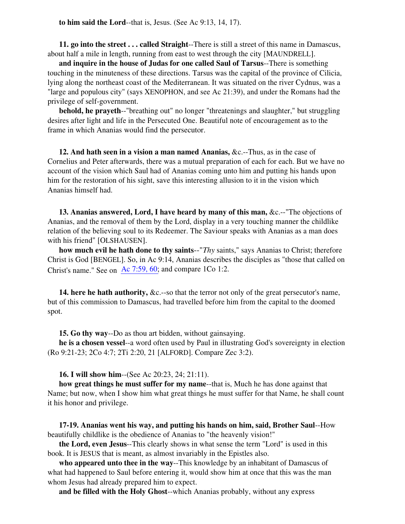**to him said the Lord**--that is, Jesus. (See Ac 9:13, 14, 17).

 **11. go into the street . . . called Straight**--There is still a street of this name in Damascus, about half a mile in length, running from east to west through the city [MAUNDRELL].

 **and inquire in the house of Judas for one called Saul of Tarsus**--There is something touching in the minuteness of these directions. Tarsus was the capital of the province of Cilicia, lying along the northeast coast of the Mediterranean. It was situated on the river Cydnus, was a "large and populous city" (says XENOPHON, and see Ac 21:39), and under the Romans had the privilege of self-government.

 **behold, he prayeth**--"breathing out" no longer "threatenings and slaughter," but struggling desires after light and life in the Persecuted One. Beautiful note of encouragement as to the frame in which Ananias would find the persecutor.

 **12. And hath seen in a vision a man named Ananias,** &c.--Thus, as in the case of Cornelius and Peter afterwards, there was a mutual preparation of each for each. But we have no account of the vision which Saul had of Ananias coming unto him and putting his hands upon him for the restoration of his sight, save this interesting allusion to it in the vision which Ananias himself had.

 **13. Ananias answered, Lord, I have heard by many of this man,** &c.--"The objections of Ananias, and the removal of them by the Lord, display in a very touching manner the childlike relation of the believing soul to its Redeemer. The Saviour speaks with Ananias as a man does with his friend" [OLSHAUSEN].

Christ's name." See on  $\underline{\text{Ac } 7:59, 60}$ ; and compare 1Co 1:2. **how much evil he hath done to thy saints**--"*Thy* saints," says Ananias to Christ; therefore Christ is God [BENGEL]. So, in Ac 9:14, Ananias describes the disciples as "those that called on

 **14. here he hath authority,** &c.--so that the terror not only of the great persecutor's name, but of this commission to Damascus, had travelled before him from the capital to the doomed spot.

**15. Go thy way**--Do as thou art bidden, without gainsaying.

 **he is a chosen vessel**--a word often used by Paul in illustrating God's sovereignty in election (Ro 9:21-23; 2Co 4:7; 2Ti 2:20, 21 [ALFORD]. Compare Zec 3:2).

**16. I will show him**--(See Ac 20:23, 24; 21:11).

 **how great things he must suffer for my name**--that is, Much he has done against that Name; but now, when I show him what great things he must suffer for that Name, he shall count it his honor and privilege.

 **17-19. Ananias went his way, and putting his hands on him, said, Brother Saul**--How beautifully childlike is the obedience of Ananias to "the heavenly vision!"

 **the Lord, even Jesus**--This clearly shows in what sense the term "Lord" is used in this book. It is JESUS that is meant, as almost invariably in the Epistles also.

 **who appeared unto thee in the way**--This knowledge by an inhabitant of Damascus of what had happened to Saul before entering it, would show him at once that this was the man whom Jesus had already prepared him to expect.

**and be filled with the Holy Ghost**--which Ananias probably, without any express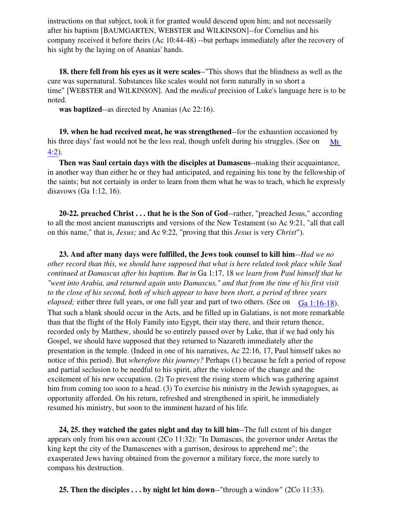instructions on that subject, took it for granted would descend upon him; and not necessarily after his baptism [BAUMGARTEN, WEBSTER and WILKINSON]--for Cornelius and his company received it before theirs (Ac 10:44-48) --but perhaps immediately after the recovery of his sight by the laying on of Ananias' hands.

 **18. there fell from his eyes as it were scales**--"This shows that the blindness as well as the cure was supernatural. Substances like scales would not form naturally in so short a time" [WEBSTER and WILKINSON]. And the *medical* precision of Luke's language here is to be noted.

**was baptized**--as directed by Ananias (Ac 22:16).

Mt **19. when he had received meat, he was strengthened**--for the exhaustion occasioned by his three days' fast would not be the less real, though unfelt during his struggles. (See on 4:2).

 **Then was Saul certain days with the disciples at Damascus**--making their acquaintance, in another way than either he or they had anticipated, and regaining his tone by the fellowship of the saints; but not certainly in order to learn from them what he was to teach, which he expressly disavows (Ga 1:12, 16).

 **20-22. preached Christ . . . that he is the Son of God**--rather, "preached Jesus," according to all the most ancient manuscripts and versions of the New Testament (so Ac 9:21, "all that call on this name," that is, *Jesus;* and Ac 9:22, "proving that this *Jesus* is very *Christ*").

*elapsed;* either three full years, or one full year and part of two others. (See on  $\frac{Ga\ 1:16-18}{Ga\ 1:16-18}$ ). **23. And after many days were fulfilled, the Jews took counsel to kill him**--*Had we no other record than this, we should have supposed that what is here related took place while Saul continued at Damascus after his baptism. But in* Ga 1:17, 18 *we learn from Paul himself that he "went into Arabia, and returned again unto Damascus," and that from the time of his first visit to the close of his second, both of which appear to have been short, a period of three years* That such a blank should occur in the Acts, and be filled up in Galatians, is not more remarkable than that the flight of the Holy Family into Egypt, their stay there, and their return thence, recorded only by Matthew, should be so entirely passed over by Luke, that if we had only his Gospel, we should have supposed that they returned to Nazareth immediately after the presentation in the temple. (Indeed in one of his narratives, Ac 22:16, 17, Paul himself takes no notice of this period). But *wherefore this journey?* Perhaps (1) because he felt a period of repose and partial seclusion to be needful to his spirit, after the violence of the change and the excitement of his new occupation. (2) To prevent the rising storm which was gathering against him from coming too soon to a head. (3) To exercise his ministry in the Jewish synagogues, as opportunity afforded. On his return, refreshed and strengthened in spirit, he immediately resumed his ministry, but soon to the imminent hazard of his life.

 **24, 25. they watched the gates night and day to kill him**--The full extent of his danger appears only from his own account (2Co 11:32): "In Damascus, the governor under Aretas the king kept the city of the Damascenes with a garrison, desirous to apprehend me"; the exasperated Jews having obtained from the governor a military force, the more surely to compass his destruction.

**25. Then the disciples . . . by night let him down**--"through a window" (2Co 11:33).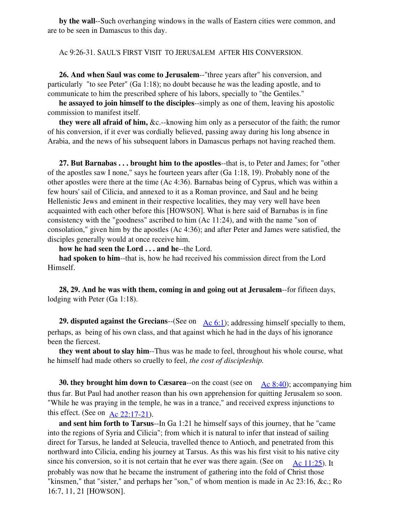**by the wall**--Such overhanging windows in the walls of Eastern cities were common, and are to be seen in Damascus to this day.

Ac 9:26-31. SAUL'S FIRST VISIT TO JERUSALEM AFTER HIS CONVERSION.

 **26. And when Saul was come to Jerusalem**--"three years after" his conversion, and particularly "to see Peter" (Ga 1:18); no doubt because he was the leading apostle, and to communicate to him the prescribed sphere of his labors, specially to "the Gentiles."

 **he assayed to join himself to the disciples**--simply as one of them, leaving his apostolic commission to manifest itself.

 **they were all afraid of him,** &c.--knowing him only as a persecutor of the faith; the rumor of his conversion, if it ever was cordially believed, passing away during his long absence in Arabia, and the news of his subsequent labors in Damascus perhaps not having reached them.

 **27. But Barnabas . . . brought him to the apostles**--that is, to Peter and James; for "other of the apostles saw I none," says he fourteen years after (Ga 1:18, 19). Probably none of the other apostles were there at the time (Ac 4:36). Barnabas being of Cyprus, which was within a few hours' sail of Cilicia, and annexed to it as a Roman province, and Saul and he being Hellenistic Jews and eminent in their respective localities, they may very well have been acquainted with each other before this [HOWSON]. What is here said of Barnabas is in fine consistency with the "goodness" ascribed to him (Ac 11:24), and with the name "son of consolation," given him by the apostles (Ac 4:36); and after Peter and James were satisfied, the disciples generally would at once receive him.

**how he had seen the Lord . . . and he**--the Lord.

 **had spoken to him**--that is, how he had received his commission direct from the Lord Himself.

 **28, 29. And he was with them, coming in and going out at Jerusalem**--for fifteen days, lodging with Peter (Ga 1:18).

**29. disputed against the Grecians--(See on**  $\underline{Ac(6:1)}$ ; addressing himself specially to them, perhaps, as being of his own class, and that against which he had in the days of his ignorance been the fiercest.

 **they went about to slay him**--Thus was he made to feel, throughout his whole course, what he himself had made others so cruelly to feel, *the cost of discipleship.* 

**30. they brought him down to Cæsarea**--on the coast (see on  $\underline{Ac 8:40}$ ); accompanying him this effect. (See on  $\underline{\text{Ac } 22:17-21}$ ). thus far. But Paul had another reason than his own apprehension for quitting Jerusalem so soon. "While he was praying in the temple, he was in a trance," and received express injunctions to

Ac 11:25). It **and sent him forth to Tarsus**--In Ga 1:21 he himself says of this journey, that he "came into the regions of Syria and Cilicia"; from which it is natural to infer that instead of sailing direct for Tarsus, he landed at Seleucia, travelled thence to Antioch, and penetrated from this northward into Cilicia, ending his journey at Tarsus. As this was his first visit to his native city since his conversion, so it is not certain that he ever was there again. (See on probably was now that he became the instrument of gathering into the fold of Christ those "kinsmen," that "sister," and perhaps her "son," of whom mention is made in Ac 23:16, &c.; Ro 16:7, 11, 21 [HOWSON].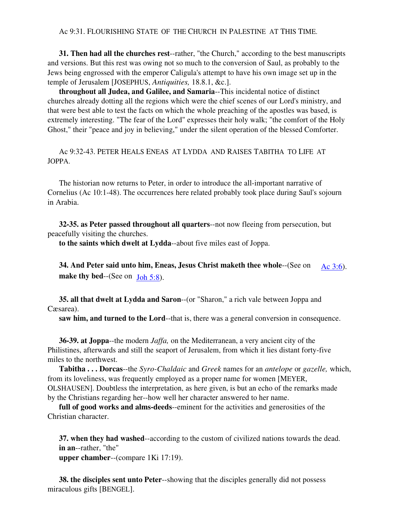#### Ac 9:31. FLOURISHING STATE OF THE CHURCH IN PALESTINE AT THIS TIME.

 **31. Then had all the churches rest**--rather, "the Church," according to the best manuscripts and versions. But this rest was owing not so much to the conversion of Saul, as probably to the Jews being engrossed with the emperor Caligula's attempt to have his own image set up in the temple of Jerusalem [JOSEPHUS, *Antiquities,* 18.8.1, &c.].

 **throughout all Judea, and Galilee, and Samaria**--This incidental notice of distinct churches already dotting all the regions which were the chief scenes of our Lord's ministry, and that were best able to test the facts on which the whole preaching of the apostles was based, is extremely interesting. "The fear of the Lord" expresses their holy walk; "the comfort of the Holy Ghost," their "peace and joy in believing," under the silent operation of the blessed Comforter.

 Ac 9:32-43. PETER HEALS ENEAS AT LYDDA AND RAISES TABITHA TO LIFE AT JOPPA.

 The historian now returns to Peter, in order to introduce the all-important narrative of Cornelius (Ac 10:1-48). The occurrences here related probably took place during Saul's sojourn in Arabia.

 **32-35. as Peter passed throughout all quarters**--not now fleeing from persecution, but peacefully visiting the churches.

**to the saints which dwelt at Lydda**--about five miles east of Joppa.

Ac 3:6). **make thy bed**--(See on  $\underline{Joh}$  5:8). **34. And Peter said unto him, Eneas, Jesus Christ maketh thee whole**--(See on

 **35. all that dwelt at Lydda and Saron**--(or "Sharon," a rich vale between Joppa and Cæsarea).

**saw him, and turned to the Lord**--that is, there was a general conversion in consequence.

 **36-39. at Joppa**--the modern *Jaffa,* on the Mediterranean, a very ancient city of the Philistines, afterwards and still the seaport of Jerusalem, from which it lies distant forty-five miles to the northwest.

 **Tabitha . . . Dorcas**--the *Syro-Chaldaic* and *Greek* names for an *antelope* or *gazelle,* which, from its loveliness, was frequently employed as a proper name for women [MEYER, OLSHAUSEN]. Doubtless the interpretation, as here given, is but an echo of the remarks made by the Christians regarding her--how well her character answered to her name.

 **full of good works and alms-deeds**--eminent for the activities and generosities of the Christian character.

 **37. when they had washed**--according to the custom of civilized nations towards the dead. **in an**--rather, "the" **upper chamber**--(compare 1Ki 17:19).

 **38. the disciples sent unto Peter**--showing that the disciples generally did not possess miraculous gifts [BENGEL].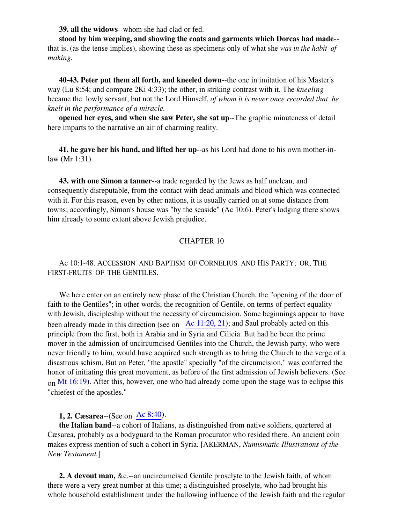**39. all the widows**--whom she had clad or fed.

 **stood by him weeping, and showing the coats and garments which Dorcas had made**- that is, (as the tense implies), showing these as specimens only of what she *was in the habit of making.* 

 **40-43. Peter put them all forth, and kneeled down**--the one in imitation of his Master's way (Lu 8:54; and compare 2Ki 4:33); the other, in striking contrast with it. The *kneeling* became the lowly servant, but not the Lord Himself, *of whom it is never once recorded that he knelt in the performance of a miracle.*

 **opened her eyes, and when she saw Peter, she sat up**--The graphic minuteness of detail here imparts to the narrative an air of charming reality.

 **41. he gave her his hand, and lifted her up**--as his Lord had done to his own mother-inlaw (Mr 1:31).

 **43. with one Simon a tanner**--a trade regarded by the Jews as half unclean, and consequently disreputable, from the contact with dead animals and blood which was connected with it. For this reason, even by other nations, it is usually carried on at some distance from towns; accordingly, Simon's house was "by the seaside" (Ac 10:6). Peter's lodging there shows him already to some extent above Jewish prejudice.

## CHAPTER 10

 Ac 10:1-48. ACCESSION AND BAPTISM OF CORNELIUS AND HIS PARTY; OR, THE FIRST-FRUITS OF THE GENTILES.

on Mt 16:19). After this, however, one who had already come upon the stage was to eclipse this been already made in this direction (see on  $\frac{\text{Ac }11:20, 21}{\text{Ca}}$ ); and Saul probably acted on this We here enter on an entirely new phase of the Christian Church, the "opening of the door of faith to the Gentiles"; in other words, the recognition of Gentile, on terms of perfect equality with Jewish, discipleship without the necessity of circumcision. Some beginnings appear to have principle from the first, both in Arabia and in Syria and Cilicia. But had he been the prime mover in the admission of uncircumcised Gentiles into the Church, the Jewish party, who were never friendly to him, would have acquired such strength as to bring the Church to the verge of a disastrous schism. But on Peter, "the apostle" specially "of the circumcision," was conferred the honor of initiating this great movement, as before of the first admission of Jewish believers. (See "chiefest of the apostles."

# **1, 2. Cæsarea**--(See on  $\underline{Ac 8:40}$ ).

 **the Italian band**--a cohort of Italians, as distinguished from native soldiers, quartered at Cæsarea, probably as a bodyguard to the Roman procurator who resided there. An ancient coin makes express mention of such a cohort in Syria. [AKERMAN, *Numismatic Illustrations of the New Testament.*]

 **2. A devout man,** &c.--an uncircumcised Gentile proselyte to the Jewish faith, of whom there were a very great number at this time; a distinguished proselyte, who had brought his whole household establishment under the hallowing influence of the Jewish faith and the regular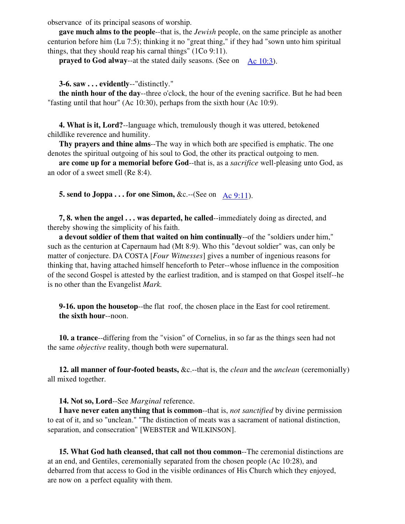observance of its principal seasons of worship.

 **gave much alms to the people**--that is, the *Jewish* people, on the same principle as another centurion before him (Lu 7:5); thinking it no "great thing," if they had "sown unto him spiritual things, that they should reap his carnal things" (1Co 9:11).

**prayed to God alway--at the stated daily seasons. (See on**  $\overline{Ac 10:3}$ ).

**3-6. saw . . . evidently**--"distinctly."

 **the ninth hour of the day**--three o'clock, the hour of the evening sacrifice. But he had been "fasting until that hour" (Ac 10:30), perhaps from the sixth hour (Ac 10:9).

 **4. What is it, Lord?**--language which, tremulously though it was uttered, betokened childlike reverence and humility.

 **Thy prayers and thine alms**--The way in which both are specified is emphatic. The one denotes the spiritual outgoing of his soul to God, the other its practical outgoing to men.

 **are come up for a memorial before God**--that is, as a *sacrifice* well-pleasing unto God, as an odor of a sweet smell (Re 8:4).

**5. send to Joppa . . . for one Simon,** &c.--(See on  $\underline{Ac}$  9:11).

 **7, 8. when the angel . . . was departed, he called**--immediately doing as directed, and thereby showing the simplicity of his faith.

 **a devout soldier of them that waited on him continually**--of the "soldiers under him," such as the centurion at Capernaum had (Mt 8:9). Who this "devout soldier" was, can only be matter of conjecture. DA COSTA [*Four Witnesses*] gives a number of ingenious reasons for thinking that, having attached himself henceforth to Peter--whose influence in the composition of the second Gospel is attested by the earliest tradition, and is stamped on that Gospel itself--he is no other than the Evangelist *Mark.* 

 **9-16. upon the housetop**--the flat roof, the chosen place in the East for cool retirement. **the sixth hour**--noon.

 **10. a trance**--differing from the "vision" of Cornelius, in so far as the things seen had not the same *objective* reality, though both were supernatural.

 **12. all manner of four-footed beasts,** &c.--that is, the *clean* and the *unclean* (ceremonially) all mixed together.

#### **14. Not so, Lord**--See *Marginal* reference.

 **I have never eaten anything that is common**--that is, *not sanctified* by divine permission to eat of it, and so "unclean." "The distinction of meats was a sacrament of national distinction, separation, and consecration" [WEBSTER and WILKINSON].

 **15. What God hath cleansed, that call not thou common**--The ceremonial distinctions are at an end, and Gentiles, ceremonially separated from the chosen people (Ac 10:28), and debarred from that access to God in the visible ordinances of His Church which they enjoyed, are now on a perfect equality with them.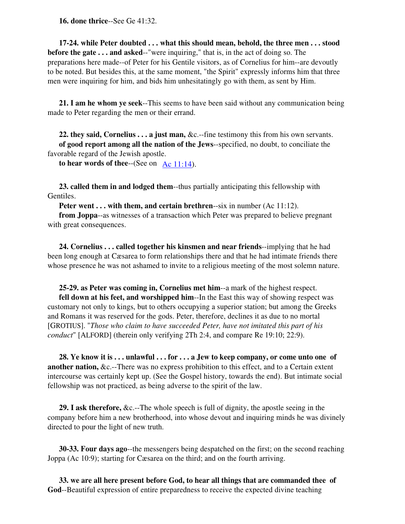**16. done thrice**--See Ge 41:32.

 **17-24. while Peter doubted . . . what this should mean, behold, the three men . . . stood before the gate . . . and asked**--"were inquiring," that is, in the act of doing so. The preparations here made--of Peter for his Gentile visitors, as of Cornelius for him--are devoutly to be noted. But besides this, at the same moment, "the Spirit" expressly informs him that three men were inquiring for him, and bids him unhesitatingly go with them, as sent by Him.

 **21. I am he whom ye seek**--This seems to have been said without any communication being made to Peter regarding the men or their errand.

 **22. they said, Cornelius . . . a just man,** &c.--fine testimony this from his own servants. **of good report among all the nation of the Jews**--specified, no doubt, to conciliate the favorable regard of the Jewish apostle.

to hear words of thee--(See on  $\overline{Ac}$  11:14).

 **23. called them in and lodged them**--thus partially anticipating this fellowship with Gentiles.

**Peter went ... with them, and certain brethren--six in number (Ac 11:12).** 

 **from Joppa**--as witnesses of a transaction which Peter was prepared to believe pregnant with great consequences.

 **24. Cornelius . . . called together his kinsmen and near friends**--implying that he had been long enough at Cæsarea to form relationships there and that he had intimate friends there whose presence he was not ashamed to invite to a religious meeting of the most solemn nature.

 **25-29. as Peter was coming in, Cornelius met him**--a mark of the highest respect. **fell down at his feet, and worshipped him**--In the East this way of showing respect was customary not only to kings, but to others occupying a superior station; but among the Greeks and Romans it was reserved for the gods. Peter, therefore, declines it as due to no mortal [GROTIUS]. "*Those who claim to have succeeded Peter, have not imitated this part of his conduct*" [ALFORD] (therein only verifying 2Th 2:4, and compare Re 19:10; 22:9).

 **28. Ye know it is . . . unlawful . . . for . . . a Jew to keep company, or come unto one of another nation,** &c.--There was no express prohibition to this effect, and to a Certain extent intercourse was certainly kept up. (See the Gospel history, towards the end). But intimate social fellowship was not practiced, as being adverse to the spirit of the law.

 **29. I ask therefore,** &c.--The whole speech is full of dignity, the apostle seeing in the company before him a new brotherhood, into whose devout and inquiring minds he was divinely directed to pour the light of new truth.

 **30-33. Four days ago**--the messengers being despatched on the first; on the second reaching Joppa (Ac 10:9); starting for Cæsarea on the third; and on the fourth arriving.

 **33. we are all here present before God, to hear all things that are commanded thee of God**--Beautiful expression of entire preparedness to receive the expected divine teaching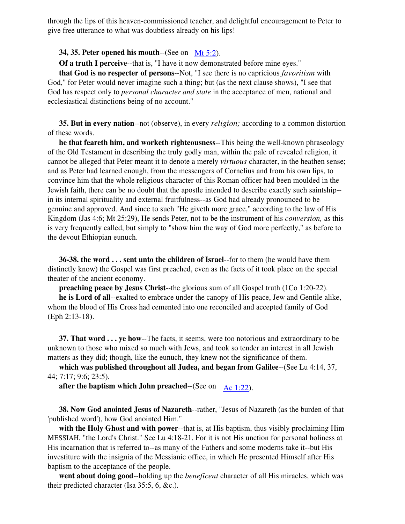through the lips of this heaven-commissioned teacher, and delightful encouragement to Peter to give free utterance to what was doubtless already on his lips!

# **34, 35. Peter opened his mouth**--(See on  $Mt 5:2$ ).</u>

**Of a truth I perceive**--that is, "I have it now demonstrated before mine eyes."

 **that God is no respecter of persons**--Not, "I see there is no capricious *favoritism* with God," for Peter would never imagine such a thing; but (as the next clause shows), "I see that God has respect only to *personal character and state* in the acceptance of men, national and ecclesiastical distinctions being of no account."

 **35. But in every nation**--not (observe), in every *religion;* according to a common distortion of these words.

 **he that feareth him, and worketh righteousness**--This being the well-known phraseology of the Old Testament in describing the truly godly man, within the pale of revealed religion, it cannot be alleged that Peter meant it to denote a merely *virtuous* character, in the heathen sense; and as Peter had learned enough, from the messengers of Cornelius and from his own lips, to convince him that the whole religious character of this Roman officer had been moulded in the Jewish faith, there can be no doubt that the apostle intended to describe exactly such saintship- in its internal spirituality and external fruitfulness--as God had already pronounced to be genuine and approved. And since to such "He giveth more grace," according to the law of His Kingdom (Jas 4:6; Mt 25:29), He sends Peter, not to be the instrument of his *conversion,* as this is very frequently called, but simply to "show him the way of God more perfectly," as before to the devout Ethiopian eunuch.

 **36-38. the word . . . sent unto the children of Israel**--for to them (he would have them distinctly know) the Gospel was first preached, even as the facts of it took place on the special theater of the ancient economy.

**preaching peace by Jesus Christ--the glorious sum of all Gospel truth (1Co 1:20-22).** 

 **he is Lord of all**--exalted to embrace under the canopy of His peace, Jew and Gentile alike, whom the blood of His Cross had cemented into one reconciled and accepted family of God (Eph 2:13-18).

**37. That word ... ye how--The facts, it seems, were too notorious and extraordinary to be** unknown to those who mixed so much with Jews, and took so tender an interest in all Jewish matters as they did; though, like the eunuch, they knew not the significance of them.

 **which was published throughout all Judea, and began from Galilee**--(See Lu 4:14, 37, 44; 7:17; 9:6; 23:5).

after the baptism which John preached--(See on **Ac** 1:22).

 **38. Now God anointed Jesus of Nazareth**--rather, "Jesus of Nazareth (as the burden of that 'published word'), how God anointed Him."

 **with the Holy Ghost and with power**--that is, at His baptism, thus visibly proclaiming Him MESSIAH, "the Lord's Christ." See Lu 4:18-21. For it is not His unction for personal holiness at His incarnation that is referred to--as many of the Fathers and some moderns take it--but His investiture with the insignia of the Messianic office, in which He presented Himself after His baptism to the acceptance of the people.

 **went about doing good**--holding up the *beneficent* character of all His miracles, which was their predicted character (Isa 35:5, 6, &c.).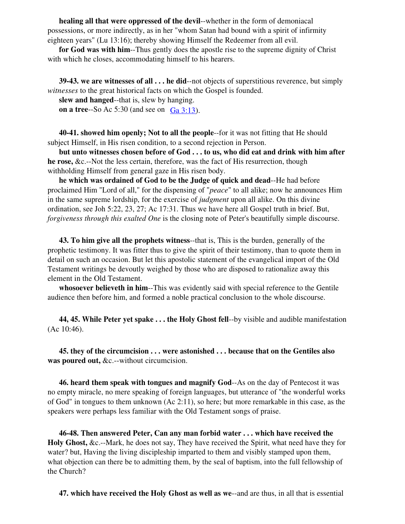**healing all that were oppressed of the devil**--whether in the form of demoniacal possessions, or more indirectly, as in her "whom Satan had bound with a spirit of infirmity eighteen years" (Lu 13:16); thereby showing Himself the Redeemer from all evil.

 **for God was with him**--Thus gently does the apostle rise to the supreme dignity of Christ with which he closes, accommodating himself to his hearers.

 **39-43. we are witnesses of all . . . he did**--not objects of superstitious reverence, but simply *witnesses* to the great historical facts on which the Gospel is founded.

**slew and hanged**--that is, slew by hanging.

**on a tree**--So Ac 5:30 (and see on  $\frac{Ga \cdot 3:13}{2}$ ).

 **40-41. showed him openly; Not to all the people**--for it was not fitting that He should subject Himself, in His risen condition, to a second rejection in Person.

 **but unto witnesses chosen before of God . . . to us, who did eat and drink with him after he rose,** &c.--Not the less certain, therefore, was the fact of His resurrection, though withholding Himself from general gaze in His risen body.

 **he which was ordained of God to be the Judge of quick and dead**--He had before proclaimed Him "Lord of all," for the dispensing of "*peace*" to all alike; now he announces Him in the same supreme lordship, for the exercise of *judgment* upon all alike. On this divine ordination, see Joh 5:22, 23, 27; Ac 17:31. Thus we have here all Gospel truth in brief. But, *forgiveness through this exalted One* is the closing note of Peter's beautifully simple discourse.

 **43. To him give all the prophets witness**--that is, This is the burden, generally of the prophetic testimony. It was fitter thus to give the spirit of their testimony, than to quote them in detail on such an occasion. But let this apostolic statement of the evangelical import of the Old Testament writings be devoutly weighed by those who are disposed to rationalize away this element in the Old Testament.

 **whosoever believeth in him**--This was evidently said with special reference to the Gentile audience then before him, and formed a noble practical conclusion to the whole discourse.

 **44, 45. While Peter yet spake . . . the Holy Ghost fell**--by visible and audible manifestation (Ac 10:46).

 **45. they of the circumcision . . . were astonished . . . because that on the Gentiles also was poured out,** &c.--without circumcision.

 **46. heard them speak with tongues and magnify God**--As on the day of Pentecost it was no empty miracle, no mere speaking of foreign languages, but utterance of "the wonderful works of God" in tongues to them unknown (Ac 2:11), so here; but more remarkable in this case, as the speakers were perhaps less familiar with the Old Testament songs of praise.

 **46-48. Then answered Peter, Can any man forbid water . . . which have received the Holy Ghost,** &c.--Mark, he does not say, They have received the Spirit, what need have they for water? but, Having the living discipleship imparted to them and visibly stamped upon them, what objection can there be to admitting them, by the seal of baptism, into the full fellowship of the Church?

**47. which have received the Holy Ghost as well as we**--and are thus, in all that is essential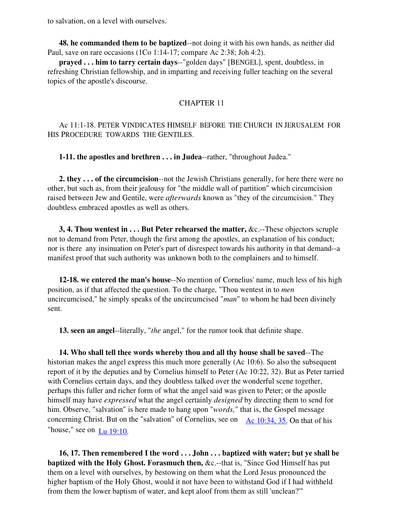to salvation, on a level with ourselves.

 **48. he commanded them to be baptized**--not doing it with his own hands, as neither did Paul, save on rare occasions (1Co 1:14-17; compare Ac 2:38; Joh 4:2).

 **prayed . . . him to tarry certain days**--"golden days" [BENGEL], spent, doubtless, in refreshing Christian fellowship, and in imparting and receiving fuller teaching on the several topics of the apostle's discourse.

## CHAPTER 11

 Ac 11:1-18. PETER VINDICATES HIMSELF BEFORE THE CHURCH IN JERUSALEM FOR HIS PROCEDURE TOWARDS THE GENTILES.

**1-11. the apostles and brethren . . . in Judea**--rather, "throughout Judea."

 **2. they . . . of the circumcision**--not the Jewish Christians generally, for here there were no other, but such as, from their jealousy for "the middle wall of partition" which circumcision raised between Jew and Gentile, were *afterwards* known as "they of the circumcision." They doubtless embraced apostles as well as others.

 **3, 4. Thou wentest in . . . But Peter rehearsed the matter,** &c.--These objectors scruple not to demand from Peter, though the first among the apostles, an explanation of his conduct; nor is there any insinuation on Peter's part of disrespect towards his authority in that demand--a manifest proof that such authority was unknown both to the complainers and to himself.

 **12-18. we entered the man's house**--No mention of Cornelius' name, much less of his high position, as if that affected the question. To the charge, "Thou wentest in to *men* uncircumcised," he simply speaks of the uncircumcised "*man*" to whom he had been divinely sent.

**13. seen an angel**--literally, "*the* angel," for the rumor took that definite shape.

concerning Christ. But on the "salvation" of Cornelius, see on Ac 10:34, 35. On that of his "house," see on  $Lu 19:10$ .</u> **14. Who shall tell thee words whereby thou and all thy house shall be saved**--The historian makes the angel express this much more generally (Ac 10:6). So also the subsequent report of it by the deputies and by Cornelius himself to Peter (Ac 10:22, 32). But as Peter tarried with Cornelius certain days, and they doubtless talked over the wonderful scene together, perhaps this fuller and richer form of what the angel said was given to Peter; or the apostle himself may have *expressed* what the angel certainly *designed* by directing them to send for him. Observe, "salvation" is here made to hang upon "*words,*" that is, the Gospel message

 **16, 17. Then remembered I the word . . . John . . . baptized with water; but ye shall be baptized with the Holy Ghost. Forasmuch then,** &c.--that is, "Since God Himself has put them on a level with ourselves, by bestowing on them what the Lord Jesus pronounced the higher baptism of the Holy Ghost, would it not have been to withstand God if I had withheld from them the lower baptism of water, and kept aloof from them as still 'unclean?'"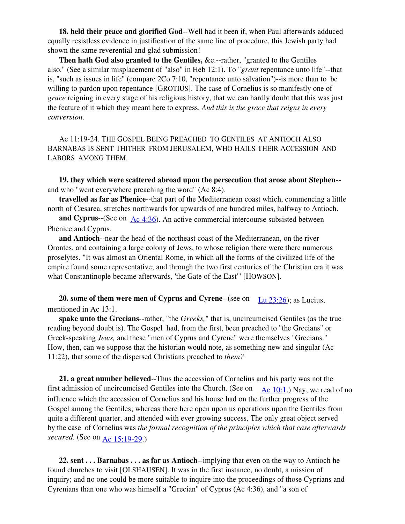**18. held their peace and glorified God**--Well had it been if, when Paul afterwards adduced equally resistless evidence in justification of the same line of procedure, this Jewish party had shown the same reverential and glad submission!

 **Then hath God also granted to the Gentiles,** &c.--rather, "granted to the Gentiles also." (See a similar misplacement of "also" in Heb 12:1). To "*grant* repentance unto life"--that is, "such as issues in life" (compare 2Co 7:10, "repentance unto salvation")--is more than to be willing to pardon upon repentance [GROTIUS]. The case of Cornelius is so manifestly one of *grace* reigning in every stage of his religious history, that we can hardly doubt that this was just the feature of it which they meant here to express. *And this is the grace that reigns in every conversion.* 

 Ac 11:19-24. THE GOSPEL BEING PREACHED TO GENTILES AT ANTIOCH ALSO BARNABAS IS SENT THITHER FROM JERUSALEM, WHO HAILS THEIR ACCESSION AND LABORS AMONG THEM.

 **19. they which were scattered abroad upon the persecution that arose about Stephen**- and who "went everywhere preaching the word" (Ac 8:4).

 **travelled as far as Phenice**--that part of the Mediterranean coast which, commencing a little north of Cæsarea, stretches northwards for upwards of one hundred miles, halfway to Antioch.

and Cyprus--(See on  $\underline{Ac 4:36}$ ). An active commercial intercourse subsisted between Phenice and Cyprus.

 **and Antioch**--near the head of the northeast coast of the Mediterranean, on the river Orontes, and containing a large colony of Jews, to whose religion there were there numerous proselytes. "It was almost an Oriental Rome, in which all the forms of the civilized life of the empire found some representative; and through the two first centuries of the Christian era it was what Constantinople became afterwards, 'the Gate of the East'" [HOWSON].

**20. some of them were men of Cyprus and Cyrene--(see on** Lu 23:26); as Lucius, mentioned in Ac 13:1.

 **spake unto the Grecians**--rather, "the *Greeks,*" that is, uncircumcised Gentiles (as the true reading beyond doubt is). The Gospel had, from the first, been preached to "the Grecians" or Greek-speaking *Jews,* and these "men of Cyprus and Cyrene" were themselves "Grecians." How, then, can we suppose that the historian would note, as something new and singular (Ac 11:22), that some of the dispersed Christians preached to *them?* 

first admission of uncircumcised Gentiles into the Church. (See on Ac 10:1) Nay, we read of no *secured.* (See on <u>Ac 15:19-29</u>.) **21. a great number believed**--Thus the accession of Cornelius and his party was not the influence which the accession of Cornelius and his house had on the further progress of the Gospel among the Gentiles; whereas there here open upon us operations upon the Gentiles from quite a different quarter, and attended with ever growing success. The only great object served by the case of Cornelius was *the formal recognition of the principles which that case afterwards*

 **22. sent . . . Barnabas . . . as far as Antioch**--implying that even on the way to Antioch he found churches to visit [OLSHAUSEN]. It was in the first instance, no doubt, a mission of inquiry; and no one could be more suitable to inquire into the proceedings of those Cyprians and Cyrenians than one who was himself a "Grecian" of Cyprus (Ac 4:36), and "a son of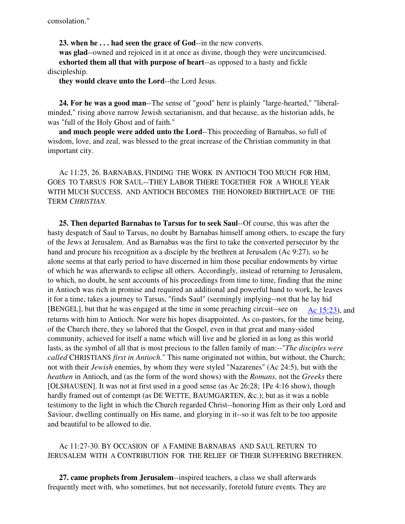consolation."

 **23. when he . . . had seen the grace of God**--in the new converts. **was glad**--owned and rejoiced in it at once as divine, though they were uncircumcised. **exhorted them all that with purpose of heart**--as opposed to a hasty and fickle discipleship.

**they would cleave unto the Lord**--the Lord Jesus.

 **24. For he was a good man**--The sense of "good" here is plainly "large-hearted," "liberalminded," rising above narrow Jewish sectarianism, and that because, as the historian adds, he was "full of the Holy Ghost and of faith."

 **and much people were added unto the Lord**--This proceeding of Barnabas, so full of wisdom, love, and zeal, was blessed to the great increase of the Christian community in that important city.

 Ac 11:25, 26. BARNABAS, FINDING THE WORK IN ANTIOCH TOO MUCH FOR HIM, GOES TO TARSUS FOR SAUL--THEY LABOR THERE TOGETHER FOR A WHOLE YEAR WITH MUCH SUCCESS, AND ANTIOCH BECOMES THE HONORED BIRTHPLACE OF THE TERM *CHRISTIAN.* 

Ac 15:23), and **25. Then departed Barnabas to Tarsus for to seek Saul**--Of course, this was after the hasty despatch of Saul to Tarsus, no doubt by Barnabas himself among others, to escape the fury of the Jews at Jerusalem. And as Barnabas was the first to take the converted persecutor by the hand and procure his recognition as a disciple by the brethren at Jerusalem (Ac 9:27), so he alone seems at that early period to have discerned in him those peculiar endowments by virtue of which he was afterwards to eclipse all others. Accordingly, instead of returning to Jerusalem, to which, no doubt, he sent accounts of his proceedings from time to time, finding that the mine in Antioch was rich in promise and required an additional and powerful hand to work, he leaves it for a time, takes a journey to Tarsus, "finds Saul" (seemingly implying--not that he lay hid [BENGEL], but that he was engaged at the time in some preaching circuit--see on returns with him to Antioch. Nor were his hopes disappointed. As co-pastors, for the time being, of the Church there, they so labored that the Gospel, even in that great and many-sided community, achieved for itself a name which will live and be gloried in as long as this world lasts, as the symbol of all that is most precious to the fallen family of man:--"*The disciples were called* CHRISTIANS *first in Antioch.*" This name originated not within, but without, the Church; not with their *Jewish* enemies, by whom they were styled "Nazarenes" (Ac 24:5), but with the *heathen* in Antioch, and (as the form of the word shows) with the *Romans,* not the *Greeks* there [OLSHAUSEN]. It was not at first used in a good sense (as Ac 26:28; 1Pe 4:16 show), though hardly framed out of contempt (as DE WETTE, BAUMGARTEN, &c.); but as it was a noble testimony to the light in which the Church regarded Christ--honoring Him as their only Lord and Saviour, dwelling continually on His name, and glorying in it--so it was felt to be too apposite and beautiful to be allowed to die.

 Ac 11:27-30. BY OCCASION OF A FAMINE BARNABAS AND SAUL RETURN TO JERUSALEM WITH A CONTRIBUTION FOR THE RELIEF OF THEIR SUFFERING BRETHREN.

 **27. came prophets from Jerusalem**--inspired teachers, a class we shall afterwards frequently meet with, who sometimes, but not necessarily, foretold future events. They are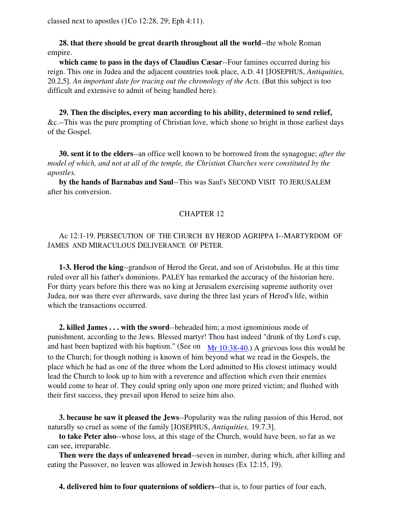classed next to apostles (1Co 12:28, 29; Eph 4:11).

 **28. that there should be great dearth throughout all the world**--the whole Roman empire.

 **which came to pass in the days of Claudius Cæsar**--Four famines occurred during his reign. This one in Judea and the adjacent countries took place, A.D. 41 [JOSEPHUS, *Antiquities,* 20.2,5]. *An important date for tracing out the chronology of the Acts.* (But this subject is too difficult and extensive to admit of being handled here).

 **29. Then the disciples, every man according to his ability, determined to send relief,** &c.--This was the pure prompting of Christian love, which shone so bright in those earliest days of the Gospel.

 **30. sent it to the elders**--an office well known to be borrowed from the synagogue; *after the model of which, and not at all of the temple, the Christian Churches were constituted by the apostles.*

 **by the hands of Barnabas and Saul**--This was Saul's SECOND VISIT TO JERUSALEM after his conversion.

# CHAPTER 12

# Ac 12:1-19. PERSECUTION OF THE CHURCH BY HEROD AGRIPPA I--MARTYRDOM OF JAMES AND MIRACULOUS DELIVERANCE OF PETER.

 **1-3. Herod the king**--grandson of Herod the Great, and son of Aristobulus. He at this time ruled over all his father's dominions. PALEY has remarked the accuracy of the historian here. For thirty years before this there was no king at Jerusalem exercising supreme authority over Judea, nor was there ever afterwards, save during the three last years of Herod's life, within which the transactions occurred.

and hast been baptized with his baptism." (See on  $\frac{Mr \ 10:38-40}{Mr \ 10:38-40}$ ) A grievous loss this would be **2. killed James . . . with the sword**--beheaded him; a most ignominious mode of punishment, according to the Jews. Blessed martyr! Thou hast indeed "drunk of thy Lord's cup, to the Church; for though nothing is known of him beyond what we read in the Gospels, the place which he had as one of the three whom the Lord admitted to His closest intimacy would lead the Church to look up to him with a reverence and affection which even their enemies would come to hear of. They could spring only upon one more prized victim; and flushed with their first success, they prevail upon Herod to seize him also.

 **3. because he saw it pleased the Jews**--Popularity was the ruling passion of this Herod, not naturally so cruel as some of the family [JOSEPHUS, *Antiquities,* 19.7.3].

 **to take Peter also**--whose loss, at this stage of the Church, would have been, so far as we can see, irreparable.

 **Then were the days of unleavened bread**--seven in number, during which, after killing and eating the Passover, no leaven was allowed in Jewish houses (Ex 12:15, 19).

**4. delivered him to four quaternions of soldiers**--that is, to four parties of four each,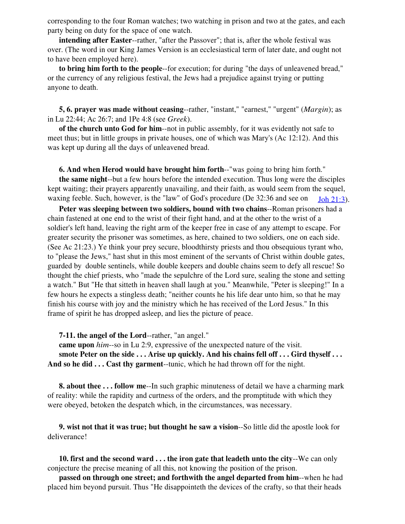corresponding to the four Roman watches; two watching in prison and two at the gates, and each party being on duty for the space of one watch.

 **intending after Easter**--rather, "after the Passover"; that is, after the whole festival was over. (The word in our King James Version is an ecclesiastical term of later date, and ought not to have been employed here).

 **to bring him forth to the people**--for execution; for during "the days of unleavened bread," or the currency of any religious festival, the Jews had a prejudice against trying or putting anyone to death.

 **5, 6. prayer was made without ceasing**--rather, "instant," "earnest," "urgent" (*Margin*); as in Lu 22:44; Ac 26:7; and 1Pe 4:8 (see *Greek*).

 **of the church unto God for him**--not in public assembly, for it was evidently not safe to meet thus; but in little groups in private houses, one of which was Mary's (Ac 12:12). And this was kept up during all the days of unleavened bread.

**6. And when Herod would have brought him forth**--"was going to bring him forth."

Joh 21:3). **the same night**--but a few hours before the intended execution. Thus long were the disciples kept waiting; their prayers apparently unavailing, and their faith, as would seem from the sequel, waxing feeble. Such, however, is the "law" of God's procedure (De 32:36 and see on

 **Peter was sleeping between two soldiers, bound with two chains**--Roman prisoners had a chain fastened at one end to the wrist of their fight hand, and at the other to the wrist of a soldier's left hand, leaving the right arm of the keeper free in case of any attempt to escape. For greater security the prisoner was sometimes, as here, chained to two soldiers, one on each side. (See Ac 21:23.) Ye think your prey secure, bloodthirsty priests and thou obsequious tyrant who, to "please the Jews," hast shut in this most eminent of the servants of Christ within double gates, guarded by double sentinels, while double keepers and double chains seem to defy all rescue! So thought the chief priests, who "made the sepulchre of the Lord sure, sealing the stone and setting a watch." But "He that sitteth in heaven shall laugh at you." Meanwhile, "Peter is sleeping!" In a few hours he expects a stingless death; "neither counts he his life dear unto him, so that he may finish his course with joy and the ministry which he has received of the Lord Jesus." In this frame of spirit he has dropped asleep, and lies the picture of peace.

**7-11. the angel of the Lord**--rather, "an angel."

 **came upon** *him*--so in Lu 2:9, expressive of the unexpected nature of the visit. **smote Peter on the side . . . Arise up quickly. And his chains fell off . . . Gird thyself . . . And so he did . . . Cast thy garment**--tunic, which he had thrown off for the night.

 **8. about thee . . . follow me**--In such graphic minuteness of detail we have a charming mark of reality: while the rapidity and curtness of the orders, and the promptitude with which they were obeyed, betoken the despatch which, in the circumstances, was necessary.

 **9. wist not that it was true; but thought he saw a vision**--So little did the apostle look for deliverance!

 **10. first and the second ward . . . the iron gate that leadeth unto the city**--We can only conjecture the precise meaning of all this, not knowing the position of the prison.

 **passed on through one street; and forthwith the angel departed from him**--when he had placed him beyond pursuit. Thus "He disappointeth the devices of the crafty, so that their heads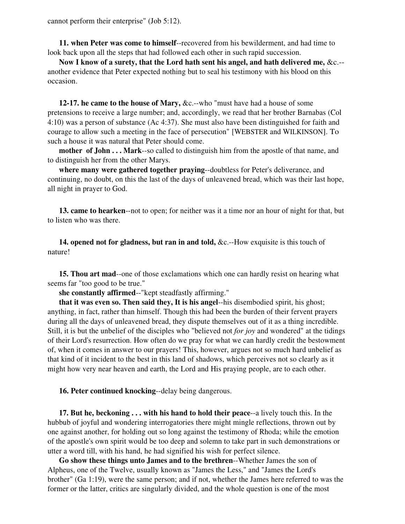cannot perform their enterprise" (Job 5:12).

 **11. when Peter was come to himself**--recovered from his bewilderment, and had time to look back upon all the steps that had followed each other in such rapid succession.

 **Now I know of a surety, that the Lord hath sent his angel, and hath delivered me,** &c.- another evidence that Peter expected nothing but to seal his testimony with his blood on this occasion.

 **12-17. he came to the house of Mary,** &c.--who "must have had a house of some pretensions to receive a large number; and, accordingly, we read that her brother Barnabas (Col 4:10) was a person of substance (Ac 4:37). She must also have been distinguished for faith and courage to allow such a meeting in the face of persecution" [WEBSTER and WILKINSON]. To such a house it was natural that Peter should come.

 **mother of John . . . Mark**--so called to distinguish him from the apostle of that name, and to distinguish her from the other Marys.

 **where many were gathered together praying**--doubtless for Peter's deliverance, and continuing, no doubt, on this the last of the days of unleavened bread, which was their last hope, all night in prayer to God.

 **13. came to hearken**--not to open; for neither was it a time nor an hour of night for that, but to listen who was there.

 **14. opened not for gladness, but ran in and told,** &c.--How exquisite is this touch of nature!

 **15. Thou art mad**--one of those exclamations which one can hardly resist on hearing what seems far "too good to be true."

**she constantly affirmed**--"kept steadfastly affirming."

 **that it was even so. Then said they, It is his angel**--his disembodied spirit, his ghost; anything, in fact, rather than himself. Though this had been the burden of their fervent prayers during all the days of unleavened bread, they dispute themselves out of it as a thing incredible. Still, it is but the unbelief of the disciples who "believed not *for joy* and wondered" at the tidings of their Lord's resurrection. How often do we pray for what we can hardly credit the bestowment of, when it comes in answer to our prayers! This, however, argues not so much hard unbelief as that kind of it incident to the best in this land of shadows, which perceives not so clearly as it might how very near heaven and earth, the Lord and His praying people, are to each other.

**16. Peter continued knocking**--delay being dangerous.

 **17. But he, beckoning . . . with his hand to hold their peace**--a lively touch this. In the hubbub of joyful and wondering interrogatories there might mingle reflections, thrown out by one against another, for holding out so long against the testimony of Rhoda; while the emotion of the apostle's own spirit would be too deep and solemn to take part in such demonstrations or utter a word till, with his hand, he had signified his wish for perfect silence.

 **Go show these things unto James and to the brethren**--Whether James the son of Alpheus, one of the Twelve, usually known as "James the Less," and "James the Lord's brother" (Ga 1:19), were the same person; and if not, whether the James here referred to was the former or the latter, critics are singularly divided, and the whole question is one of the most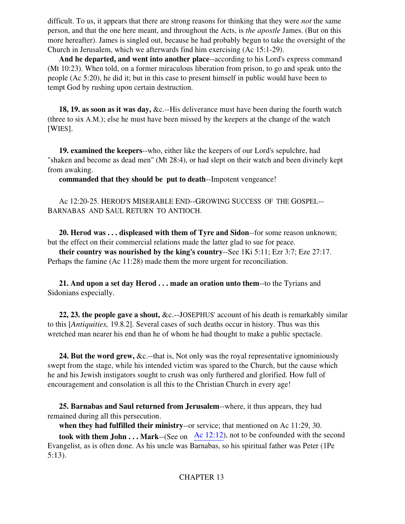difficult. To us, it appears that there are strong reasons for thinking that they were *not* the same person, and that the one here meant, and throughout the Acts, is *the apostle* James. (But on this more hereafter). James is singled out, because he had probably begun to take the oversight of the Church in Jerusalem, which we afterwards find him exercising (Ac 15:1-29).

 **And he departed, and went into another place**--according to his Lord's express command (Mt 10:23). When told, on a former miraculous liberation from prison, to go and speak unto the people (Ac 5:20), he did it; but in this case to present himself in public would have been to tempt God by rushing upon certain destruction.

 **18, 19. as soon as it was day,** &c.--His deliverance must have been during the fourth watch (three to six A.M.); else he must have been missed by the keepers at the change of the watch [WIES].

 **19. examined the keepers**--who, either like the keepers of our Lord's sepulchre, had "shaken and become as dead men" (Mt 28:4), or had slept on their watch and been divinely kept from awaking.

**commanded that they should be put to death**--Impotent vengeance!

 Ac 12:20-25. HEROD'S MISERABLE END--GROWING SUCCESS OF THE GOSPEL-- BARNABAS AND SAUL RETURN TO ANTIOCH.

 **20. Herod was . . . displeased with them of Tyre and Sidon**--for some reason unknown; but the effect on their commercial relations made the latter glad to sue for peace.

 **their country was nourished by the king's country**--See 1Ki 5:11; Ezr 3:7; Eze 27:17. Perhaps the famine (Ac 11:28) made them the more urgent for reconciliation.

 **21. And upon a set day Herod . . . made an oration unto them**--to the Tyrians and Sidonians especially.

 **22, 23. the people gave a shout,** &c.--JOSEPHUS' account of his death is remarkably similar to this [*Antiquities,* 19.8.2]. Several cases of such deaths occur in history. Thus was this wretched man nearer his end than he of whom he had thought to make a public spectacle.

 **24. But the word grew,** &c.--that is, Not only was the royal representative ignominiously swept from the stage, while his intended victim was spared to the Church, but the cause which he and his Jewish instigators sought to crush was only furthered and glorified. How full of encouragement and consolation is all this to the Christian Church in every age!

 **25. Barnabas and Saul returned from Jerusalem**--where, it thus appears, they had remained during all this persecution.

**when they had fulfilled their ministry**--or service; that mentioned on Ac 11:29, 30.

**took with them John ... Mark**--(See on  $\frac{\text{Ac }12:12}{\text{Ac }12:12}$ ), not to be confounded with the second Evangelist, as is often done. As his uncle was Barnabas, so his spiritual father was Peter (1Pe 5:13).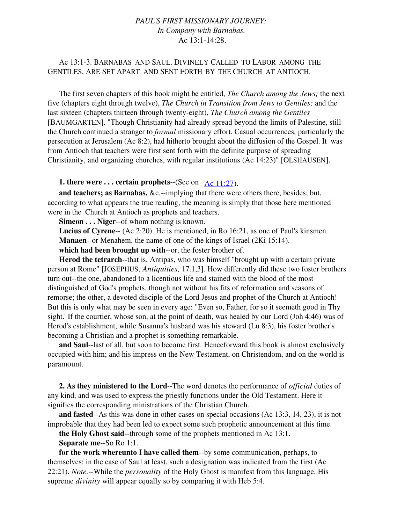# *PAUL'S FIRST MISSIONARY JOURNEY: In Company with Barnabas.* Ac 13:1-14:28.

# Ac 13:1-3. BARNABAS AND SAUL, DIVINELY CALLED TO LABOR AMONG THE GENTILES, ARE SET APART AND SENT FORTH BY THE CHURCH AT ANTIOCH.

 The first seven chapters of this book might be entitled, *The Church among the Jews;* the next five (chapters eight through twelve), *The Church in Transition from Jews to Gentiles;* and the last sixteen (chapters thirteen through twenty-eight), *The Church among the Gentiles* [BAUMGARTEN]. "Though Christianity had already spread beyond the limits of Palestine, still the Church continued a stranger to *formal* missionary effort. Casual occurrences, particularly the persecution at Jerusalem (Ac 8:2), had hitherto brought about the diffusion of the Gospel. It was from Antioch that teachers were first sent forth with the definite purpose of spreading Christianity, and organizing churches, with regular institutions (Ac 14:23)" [OLSHAUSEN].

**1. there were ... certain prophets**--(See on  $\underline{Ac 11:27}$ ).

 **and teachers; as Barnabas,** &c.--implying that there were others there, besides; but, according to what appears the true reading, the meaning is simply that those here mentioned were in the Church at Antioch as prophets and teachers.

**Simeon . . . Niger**--of whom nothing is known.

 **Lucius of Cyrene**-- (Ac 2:20). He is mentioned, in Ro 16:21, as one of Paul's kinsmen. **Manaen**--or Menahem, the name of one of the kings of Israel (2Ki 15:14).

**which had been brought up with**--or, the foster brother of.

 **Herod the tetrarch**--that is, Antipas, who was himself "brought up with a certain private person at Rome" [JOSEPHUS, *Antiquities,* 17.1,3]. How differently did these two foster brothers turn out--the one, abandoned to a licentious life and stained with the blood of the most distinguished of God's prophets, though not without his fits of reformation and seasons of remorse; the other, a devoted disciple of the Lord Jesus and prophet of the Church at Antioch! But this is only what may be seen in every age: "Even so, Father, for so it seemeth good in Thy sight.' If the courtier, whose son, at the point of death, was healed by our Lord (Joh 4:46) was of Herod's establishment, while Susanna's husband was his steward (Lu 8:3), his foster brother's becoming a Christian and a prophet is something remarkable.

 **and Saul**--last of all, but soon to become first. Henceforward this book is almost exclusively occupied with him; and his impress on the New Testament, on Christendom, and on the world is paramount.

 **2. As they ministered to the Lord**--The word denotes the performance of *official* duties of any kind, and was used to express the priestly functions under the Old Testament. Here it signifies the corresponding ministrations of the Christian Church.

 **and fasted**--As this was done in other cases on special occasions (Ac 13:3, 14, 23), it is not improbable that they had been led to expect some such prophetic announcement at this time.

**the Holy Ghost said**--through some of the prophets mentioned in Ac 13:1.

**Separate me**--So Ro 1:1.

 **for the work whereunto I have called them**--by some communication, perhaps, to themselves: in the case of Saul at least, such a designation was indicated from the first (Ac 22:21). *Note.*--While the *personality* of the Holy Ghost is manifest from this language, His supreme *divinity* will appear equally so by comparing it with Heb 5:4.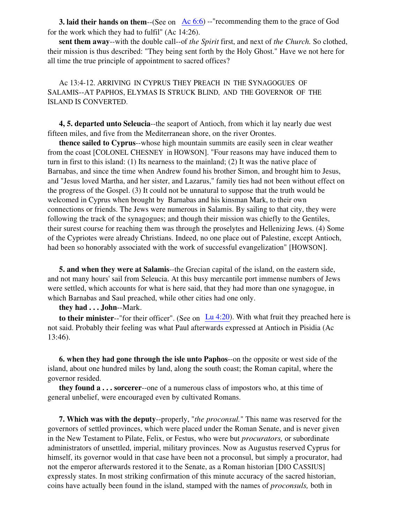**3. laid their hands on them--(See on**  $\underline{Ac(6:6)}$  --"recommending them to the grace of God for the work which they had to fulfil" (Ac 14:26).

 **sent them away**--with the double call--of *the Spirit* first, and next of *the Church.* So clothed, their mission is thus described: "They being sent forth by the Holy Ghost." Have we not here for all time the true principle of appointment to sacred offices?

 Ac 13:4-12. ARRIVING IN CYPRUS THEY PREACH IN THE SYNAGOGUES OF SALAMIS--AT PAPHOS, ELYMAS IS STRUCK BLIND, AND THE GOVERNOR OF THE ISLAND IS CONVERTED.

 **4, 5. departed unto Seleucia**--the seaport of Antioch, from which it lay nearly due west fifteen miles, and five from the Mediterranean shore, on the river Orontes.

 **thence sailed to Cyprus**--whose high mountain summits are easily seen in clear weather from the coast [COLONEL CHESNEY in HOWSON]. "Four reasons may have induced them to turn in first to this island: (1) Its nearness to the mainland; (2) It was the native place of Barnabas, and since the time when Andrew found his brother Simon, and brought him to Jesus, and "Jesus loved Martha, and her sister, and Lazarus," family ties had not been without effect on the progress of the Gospel. (3) It could not be unnatural to suppose that the truth would be welcomed in Cyprus when brought by Barnabas and his kinsman Mark, to their own connections or friends. The Jews were numerous in Salamis. By sailing to that city, they were following the track of the synagogues; and though their mission was chiefly to the Gentiles, their surest course for reaching them was through the proselytes and Hellenizing Jews. (4) Some of the Cypriotes were already Christians. Indeed, no one place out of Palestine, except Antioch, had been so honorably associated with the work of successful evangelization" [HOWSON].

 **5. and when they were at Salamis**--the Grecian capital of the island, on the eastern side, and not many hours' sail from Seleucia. At this busy mercantile port immense numbers of Jews were settled, which accounts for what is here said, that they had more than one synagogue, in which Barnabas and Saul preached, while other cities had one only.

**they had . . . John**--Mark.

**to their minister**--"for their officer". (See on  $\frac{\text{Lu } 4:20}{\text{Lu } 4:20}$ ). With what fruit they preached here is not said. Probably their feeling was what Paul afterwards expressed at Antioch in Pisidia (Ac 13:46).

 **6. when they had gone through the isle unto Paphos**--on the opposite or west side of the island, about one hundred miles by land, along the south coast; the Roman capital, where the governor resided.

 **they found a . . . sorcerer**--one of a numerous class of impostors who, at this time of general unbelief, were encouraged even by cultivated Romans.

 **7. Which was with the deputy**--properly, "*the proconsul.*" This name was reserved for the governors of settled provinces, which were placed under the Roman Senate, and is never given in the New Testament to Pilate, Felix, or Festus, who were but *procurators,* or subordinate administrators of unsettled, imperial, military provinces. Now as Augustus reserved Cyprus for himself, its governor would in that case have been not a proconsul, but simply a procurator, had not the emperor afterwards restored it to the Senate, as a Roman historian [DIO CASSIUS] expressly states. In most striking confirmation of this minute accuracy of the sacred historian, coins have actually been found in the island, stamped with the names of *proconsuls,* both in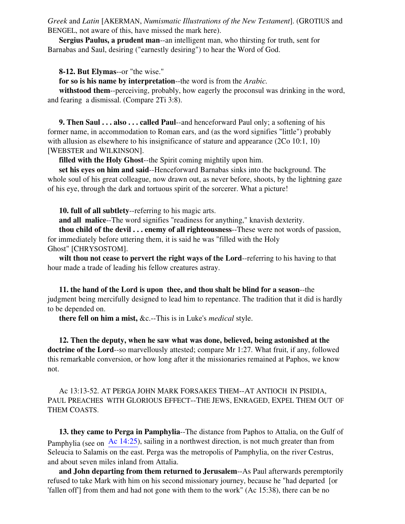*Greek* and *Latin* [AKERMAN, *Numismatic Illustrations of the New Testament*]. (GROTIUS and BENGEL, not aware of this, have missed the mark here).

 **Sergius Paulus, a prudent man**--an intelligent man, who thirsting for truth, sent for Barnabas and Saul, desiring ("earnestly desiring") to hear the Word of God.

**8-12. But Elymas**--or "the wise."

**for so is his name by interpretation**--the word is from the *Arabic.*

withstood them--perceiving, probably, how eagerly the proconsul was drinking in the word, and fearing a dismissal. (Compare 2Ti 3:8).

**9. Then Saul ... also ... called Paul--and henceforward Paul only; a softening of his** former name, in accommodation to Roman ears, and (as the word signifies "little") probably with allusion as elsewhere to his insignificance of stature and appearance (2Co 10:1, 10) [WEBSTER and WILKINSON].

**filled with the Holy Ghost**--the Spirit coming mightily upon him.

 **set his eyes on him and said**--Henceforward Barnabas sinks into the background. The whole soul of his great colleague, now drawn out, as never before, shoots, by the lightning gaze of his eye, through the dark and tortuous spirit of the sorcerer. What a picture!

**10. full of all subtlety**--referring to his magic arts.

**and all malice**--The word signifies "readiness for anything," knavish dexterity.

 **thou child of the devil . . . enemy of all righteousness**--These were not words of passion, for immediately before uttering them, it is said he was "filled with the Holy Ghost" [CHRYSOSTOM].

 **wilt thou not cease to pervert the right ways of the Lord**--referring to his having to that hour made a trade of leading his fellow creatures astray.

 **11. the hand of the Lord is upon thee, and thou shalt be blind for a season**--the judgment being mercifully designed to lead him to repentance. The tradition that it did is hardly to be depended on.

**there fell on him a mist,** &c.--This is in Luke's *medical* style.

 **12. Then the deputy, when he saw what was done, believed, being astonished at the doctrine of the Lord**--so marvellously attested; compare Mr 1:27. What fruit, if any, followed this remarkable conversion, or how long after it the missionaries remained at Paphos, we know not.

 Ac 13:13-52. AT PERGA JOHN MARK FORSAKES THEM--AT ANTIOCH IN PISIDIA, PAUL PREACHES WITH GLORIOUS EFFECT--THE JEWS, ENRAGED, EXPEL THEM OUT OF THEM COASTS.

Pamphylia (see on  $\frac{\text{Ac }14:25}{\text{Ca}}$ ), sailing in a northwest direction, is not much greater than from **13. they came to Perga in Pamphylia**--The distance from Paphos to Attalia, on the Gulf of Seleucia to Salamis on the east. Perga was the metropolis of Pamphylia, on the river Cestrus, and about seven miles inland from Attalia.

 **and John departing from them returned to Jerusalem**--As Paul afterwards peremptorily refused to take Mark with him on his second missionary journey, because he "had departed [or 'fallen off'] from them and had not gone with them to the work" (Ac 15:38), there can be no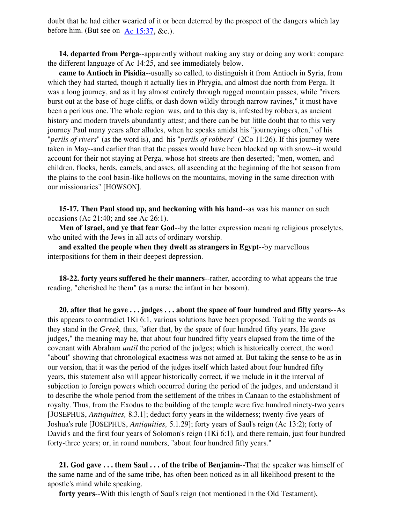before him. (But see on  $\overline{Ac}$  15:37, &c.). doubt that he had either wearied of it or been deterred by the prospect of the dangers which lay

 **14. departed from Perga**--apparently without making any stay or doing any work: compare the different language of Ac 14:25, and see immediately below.

 **came to Antioch in Pisidia**--usually so called, to distinguish it from Antioch in Syria, from which they had started, though it actually lies in Phrygia, and almost due north from Perga. It was a long journey, and as it lay almost entirely through rugged mountain passes, while "rivers burst out at the base of huge cliffs, or dash down wildly through narrow ravines," it must have been a perilous one. The whole region was, and to this day is, infested by robbers, as ancient history and modern travels abundantly attest; and there can be but little doubt that to this very journey Paul many years after alludes, when he speaks amidst his "journeyings often," of his "*perils of rivers*" (as the word is), and his "*perils of robbers*" (2Co 11:26). If this journey were taken in May--and earlier than that the passes would have been blocked up with snow--it would account for their not staying at Perga, whose hot streets are then deserted; "men, women, and children, flocks, herds, camels, and asses, all ascending at the beginning of the hot season from the plains to the cool basin-like hollows on the mountains, moving in the same direction with our missionaries" [HOWSON].

 **15-17. Then Paul stood up, and beckoning with his hand**--as was his manner on such occasions (Ac 21:40; and see Ac 26:1).

 **Men of Israel, and ye that fear God**--by the latter expression meaning religious proselytes, who united with the Jews in all acts of ordinary worship.

 **and exalted the people when they dwelt as strangers in Egypt**--by marvellous interpositions for them in their deepest depression.

 **18-22. forty years suffered he their manners**--rather, according to what appears the true reading, "cherished he them" (as a nurse the infant in her bosom).

 **20. after that he gave . . . judges . . . about the space of four hundred and fifty years**--As this appears to contradict 1Ki 6:1, various solutions have been proposed. Taking the words as they stand in the *Greek,* thus, "after that, by the space of four hundred fifty years, He gave judges," the meaning may be, that about four hundred fifty years elapsed from the time of the covenant with Abraham *until* the period of the judges; which is historically correct, the word "about" showing that chronological exactness was not aimed at. But taking the sense to be as in our version, that it was the period of the judges itself which lasted about four hundred fifty years, this statement also will appear historically correct, if we include in it the interval of subjection to foreign powers which occurred during the period of the judges, and understand it to describe the whole period from the settlement of the tribes in Canaan to the establishment of royalty. Thus, from the Exodus to the building of the temple were five hundred ninety-two years [JOSEPHUS, *Antiquities,* 8.3.1]; deduct forty years in the wilderness; twenty-five years of Joshua's rule [JOSEPHUS, *Antiquities,* 5.1.29]; forty years of Saul's reign (Ac 13:2); forty of David's and the first four years of Solomon's reign (1Ki 6:1), and there remain, just four hundred forty-three years; or, in round numbers, "about four hundred fifty years."

 **21. God gave . . . them Saul . . . of the tribe of Benjamin**--That the speaker was himself of the same name and of the same tribe, has often been noticed as in all likelihood present to the apostle's mind while speaking.

**forty years**--With this length of Saul's reign (not mentioned in the Old Testament),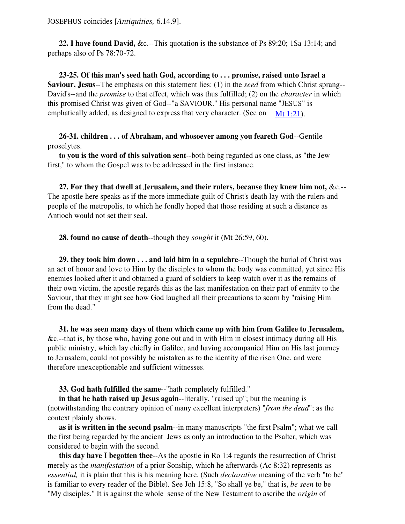JOSEPHUS coincides [*Antiquities,* 6.14.9].

 **22. I have found David,** &c.--This quotation is the substance of Ps 89:20; 1Sa 13:14; and perhaps also of Ps 78:70-72.

Mt 1:21). **23-25. Of this man's seed hath God, according to . . . promise, raised unto Israel a Saviour, Jesus**--The emphasis on this statement lies: (1) in the *seed* from which Christ sprang-- David's--and the *promise* to that effect, which was thus fulfilled; (2) on the *character* in which this promised Christ was given of God--"a SAVIOUR." His personal name "JESUS" is emphatically added, as designed to express that very character. (See on

 **26-31. children . . . of Abraham, and whosoever among you feareth God**--Gentile proselytes.

 **to you is the word of this salvation sent**--both being regarded as one class, as "the Jew first," to whom the Gospel was to be addressed in the first instance.

 **27. For they that dwell at Jerusalem, and their rulers, because they knew him not,** &c.-- The apostle here speaks as if the more immediate guilt of Christ's death lay with the rulers and people of the metropolis, to which he fondly hoped that those residing at such a distance as Antioch would not set their seal.

**28. found no cause of death**--though they *sought* it (Mt 26:59, 60).

 **29. they took him down . . . and laid him in a sepulchre**--Though the burial of Christ was an act of honor and love to Him by the disciples to whom the body was committed, yet since His enemies looked after it and obtained a guard of soldiers to keep watch over it as the remains of their own victim, the apostle regards this as the last manifestation on their part of enmity to the Saviour, that they might see how God laughed all their precautions to scorn by "raising Him from the dead."

 **31. he was seen many days of them which came up with him from Galilee to Jerusalem,** &c.--that is, by those who, having gone out and in with Him in closest intimacy during all His public ministry, which lay chiefly in Galilee, and having accompanied Him on His last journey to Jerusalem, could not possibly be mistaken as to the identity of the risen One, and were therefore unexceptionable and sufficient witnesses.

**33. God hath fulfilled the same**--"hath completely fulfilled."

 **in that he hath raised up Jesus again**--literally, "raised up"; but the meaning is (notwithstanding the contrary opinion of many excellent interpreters) "*from the dead*"; as the context plainly shows.

 **as it is written in the second psalm**--in many manuscripts "the first Psalm"; what we call the first being regarded by the ancient Jews as only an introduction to the Psalter, which was considered to begin with the second.

 **this day have I begotten thee**--As the apostle in Ro 1:4 regards the resurrection of Christ merely as the *manifestation* of a prior Sonship, which he afterwards (Ac 8:32) represents as *essential,* it is plain that this is his meaning here. (Such *declarative* meaning of the verb "to be" is familiar to every reader of the Bible). See Joh 15:8, "So shall ye be," that is, *be seen* to be "My disciples." It is against the whole sense of the New Testament to ascribe the *origin* of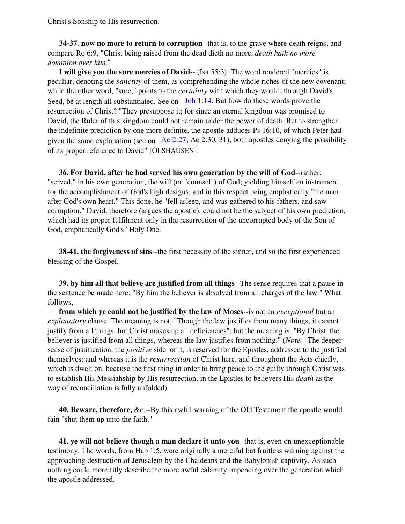Christ's Sonship to His resurrection.

 **34-37. now no more to return to corruption**--that is, to the grave where death reigns; and compare Ro 6:9, "Christ being raised from the dead dieth no more, *death hath no more dominion over him.*"

given the same explanation (see on  $\frac{\text{Ac } 2:27}{\text{Ac } 2:30, 31}$ ), both apostles denying the possibility Seed, be at length all substantiated. See on **Joh 1:14**. But how do these words prove the **I will give you the sure mercies of David--** (Isa 55:3). The word rendered "mercies" is peculiar, denoting the *sanctity* of them, as comprehending the whole riches of the new covenant; while the other word, "sure," points to the *certainty* with which they would, through David's resurrection of Christ? "They presuppose it; for since an eternal kingdom was promised to David, the Ruler of this kingdom could not remain under the power of death. But to strengthen the indefinite prediction by one more definite, the apostle adduces Ps 16:10, of which Peter had of its proper reference to David" [OLSHAUSEN].

 **36. For David, after he had served his own generation by the will of God**--rather, "served," in his own generation, the will (or "counsel") of God; yielding himself an instrument for the accomplishment of God's high designs, and in this respect being emphatically "the man after God's own heart." This done, he "fell asleep, and was gathered to his fathers, and saw corruption." David, therefore (argues the apostle), could not be the subject of his own prediction, which had its proper fulfilment only in the resurrection of the uncorrupted body of the Son of God, emphatically God's "Holy One."

 **38-41. the forgiveness of sins**--the first necessity of the sinner, and so the first experienced blessing of the Gospel.

 **39. by him all that believe are justified from all things**--The sense requires that a pause in the sentence be made here: "By him the believer is absolved from all charges of the law." What follows,

 **from which ye could not be justified by the law of Moses**--is not an *exceptional* but an *explanatory* clause. The meaning is not, "Though the law justifies from many things, it cannot justify from all things, but Christ makes up all deficiencies"; but the meaning is, "By Christ the believer is justified from all things, whereas the law justifies from nothing." (*Note.*--The deeper sense of justification, the *positive* side of it, is reserved for the Epistles, addressed to the justified themselves: and whereas it is the *resurrection* of Christ here, and throughout the Acts chiefly, which is dwelt on, because the first thing in order to bring peace to the guilty through Christ was to establish His Messiahship by His resurrection, in the Epistles to believers His *death* as the way of reconciliation is fully unfolded).

 **40. Beware, therefore,** &c.--By this awful warning of the Old Testament the apostle would fain "shut them up unto the faith."

 **41. ye will not believe though a man declare it unto you**--that is, even on unexceptionable testimony. The words, from Hab 1:5, were originally a merciful but fruitless warning against the approaching destruction of Jerusalem by the Chaldeans and the Babylonish captivity. As such nothing could more fitly describe the more awful calamity impending over the generation which the apostle addressed.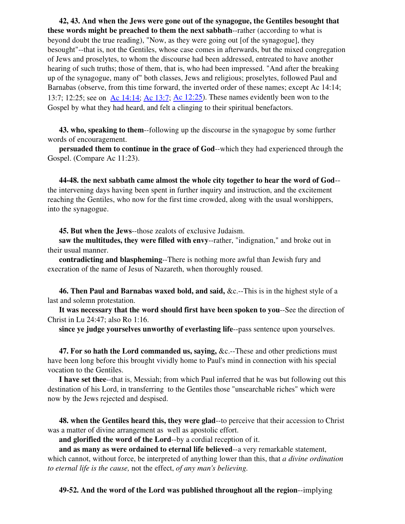13:7; 12:25; see on  $\frac{\text{Ac }14:14}{\text{Ac }13:7}$ ; Ac 12:25). These names evidently been won to the **42, 43. And when the Jews were gone out of the synagogue, the Gentiles besought that these words might be preached to them the next sabbath**--rather (according to what is beyond doubt the true reading), "Now, as they were going out [of the synagogue], they besought"--that is, not the Gentiles, whose case comes in afterwards, but the mixed congregation of Jews and proselytes, to whom the discourse had been addressed, entreated to have another hearing of such truths; those of them, that is, who had been impressed. "And after the breaking up of the synagogue, many of" both classes, Jews and religious; proselytes, followed Paul and Barnabas (observe, from this time forward, the inverted order of these names; except Ac 14:14; Gospel by what they had heard, and felt a clinging to their spiritual benefactors.

 **43. who, speaking to them**--following up the discourse in the synagogue by some further words of encouragement.

 **persuaded them to continue in the grace of God**--which they had experienced through the Gospel. (Compare Ac 11:23).

 **44-48. the next sabbath came almost the whole city together to hear the word of God**- the intervening days having been spent in further inquiry and instruction, and the excitement reaching the Gentiles, who now for the first time crowded, along with the usual worshippers, into the synagogue.

**45. But when the Jews**--those zealots of exclusive Judaism.

 **saw the multitudes, they were filled with envy**--rather, "indignation," and broke out in their usual manner.

 **contradicting and blaspheming**--There is nothing more awful than Jewish fury and execration of the name of Jesus of Nazareth, when thoroughly roused.

 **46. Then Paul and Barnabas waxed bold, and said,** &c.--This is in the highest style of a last and solemn protestation.

 **It was necessary that the word should first have been spoken to you**--See the direction of Christ in Lu 24:47; also Ro 1:16.

**since ye judge yourselves unworthy of everlasting life**--pass sentence upon yourselves.

 **47. For so hath the Lord commanded us, saying,** &c.--These and other predictions must have been long before this brought vividly home to Paul's mind in connection with his special vocation to the Gentiles.

 **I have set thee**--that is, Messiah; from which Paul inferred that he was but following out this destination of his Lord, in transferring to the Gentiles those "unsearchable riches" which were now by the Jews rejected and despised.

 **48. when the Gentiles heard this, they were glad**--to perceive that their accession to Christ was a matter of divine arrangement as well as apostolic effort.

**and glorified the word of the Lord**--by a cordial reception of it.

 **and as many as were ordained to eternal life believed**--a very remarkable statement, which cannot, without force, be interpreted of anything lower than this, that *a divine ordination to eternal life is the cause,* not the effect, *of any man's believing.*

**49-52. And the word of the Lord was published throughout all the region**--implying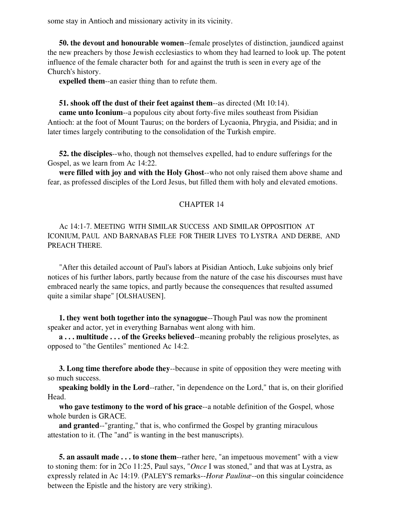some stay in Antioch and missionary activity in its vicinity.

 **50. the devout and honourable women**--female proselytes of distinction, jaundiced against the new preachers by those Jewish ecclesiastics to whom they had learned to look up. The potent influence of the female character both for and against the truth is seen in every age of the Church's history.

**expelled them**--an easier thing than to refute them.

#### **51. shook off the dust of their feet against them**--as directed (Mt 10:14).

 **came unto Iconium**--a populous city about forty-five miles southeast from Pisidian Antioch: at the foot of Mount Taurus; on the borders of Lycaonia, Phrygia, and Pisidia; and in later times largely contributing to the consolidation of the Turkish empire.

 **52. the disciples**--who, though not themselves expelled, had to endure sufferings for the Gospel, as we learn from Ac 14:22.

 **were filled with joy and with the Holy Ghost**--who not only raised them above shame and fear, as professed disciples of the Lord Jesus, but filled them with holy and elevated emotions.

# CHAPTER 14

 Ac 14:1-7. MEETING WITH SIMILAR SUCCESS AND SIMILAR OPPOSITION AT ICONIUM, PAUL AND BARNABAS FLEE FOR THEIR LIVES TO LYSTRA AND DERBE, AND PREACH THERE.

 "After this detailed account of Paul's labors at Pisidian Antioch, Luke subjoins only brief notices of his further labors, partly because from the nature of the case his discourses must have embraced nearly the same topics, and partly because the consequences that resulted assumed quite a similar shape" [OLSHAUSEN].

 **1. they went both together into the synagogue**--Though Paul was now the prominent speaker and actor, yet in everything Barnabas went along with him.

 **a . . . multitude . . . of the Greeks believed**--meaning probably the religious proselytes, as opposed to "the Gentiles" mentioned Ac 14:2.

 **3. Long time therefore abode they**--because in spite of opposition they were meeting with so much success.

 **speaking boldly in the Lord**--rather, "in dependence on the Lord," that is, on their glorified Head.

 **who gave testimony to the word of his grace**--a notable definition of the Gospel, whose whole burden is GRACE.

 **and granted**--"granting," that is, who confirmed the Gospel by granting miraculous attestation to it. (The "and" is wanting in the best manuscripts).

 **5. an assault made . . . to stone them**--rather here, "an impetuous movement" with a view to stoning them: for in 2Co 11:25, Paul says, "*Once* I was stoned," and that was at Lystra, as expressly related in Ac 14:19. (PALEY'S remarks--*Horæ Paulinæ*--on this singular coincidence between the Epistle and the history are very striking).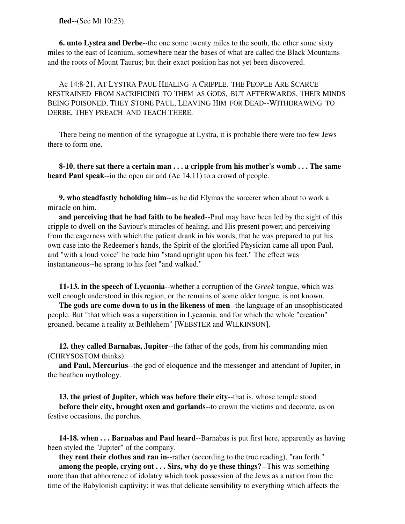**fled**--(See Mt 10:23).

 **6. unto Lystra and Derbe**--the one some twenty miles to the south, the other some sixty miles to the east of Iconium, somewhere near the bases of what are called the Black Mountains and the roots of Mount Taurus; but their exact position has not yet been discovered.

 Ac 14:8-21. AT LYSTRA PAUL HEALING A CRIPPLE, THE PEOPLE ARE SCARCE RESTRAINED FROM SACRIFICING TO THEM AS GODS, BUT AFTERWARDS, THEIR MINDS BEING POISONED, THEY STONE PAUL, LEAVING HIM FOR DEAD--WITHDRAWING TO DERBE, THEY PREACH AND TEACH THERE.

 There being no mention of the synagogue at Lystra, it is probable there were too few Jews there to form one.

 **8-10. there sat there a certain man . . . a cripple from his mother's womb . . . The same heard Paul speak**--in the open air and (Ac 14:11) to a crowd of people.

 **9. who steadfastly beholding him**--as he did Elymas the sorcerer when about to work a miracle on him.

 **and perceiving that he had faith to be healed**--Paul may have been led by the sight of this cripple to dwell on the Saviour's miracles of healing, and His present power; and perceiving from the eagerness with which the patient drank in his words, that he was prepared to put his own case into the Redeemer's hands, the Spirit of the glorified Physician came all upon Paul, and "with a loud voice" he bade him "stand upright upon his feet." The effect was instantaneous--he sprang to his feet "and walked."

 **11-13. in the speech of Lycaonia**--whether a corruption of the *Greek* tongue, which was well enough understood in this region, or the remains of some older tongue, is not known.

 **The gods are come down to us in the likeness of men**--the language of an unsophisticated people. But "that which was a superstition in Lycaonia, and for which the whole "creation" groaned, became a reality at Bethlehem" [WEBSTER and WILKINSON].

 **12. they called Barnabas, Jupiter**--the father of the gods, from his commanding mien (CHRYSOSTOM thinks).

 **and Paul, Mercurius**--the god of eloquence and the messenger and attendant of Jupiter, in the heathen mythology.

 **13. the priest of Jupiter, which was before their city**--that is, whose temple stood **before their city, brought oxen and garlands**--to crown the victims and decorate, as on festive occasions, the porches.

 **14-18. when . . . Barnabas and Paul heard**--Barnabas is put first here, apparently as having been styled the "Jupiter" of the company.

 **they rent their clothes and ran in**--rather (according to the true reading), "ran forth." **among the people, crying out . . . Sirs, why do ye these things?**--This was something more than that abhorrence of idolatry which took possession of the Jews as a nation from the time of the Babylonish captivity: it was that delicate sensibility to everything which affects the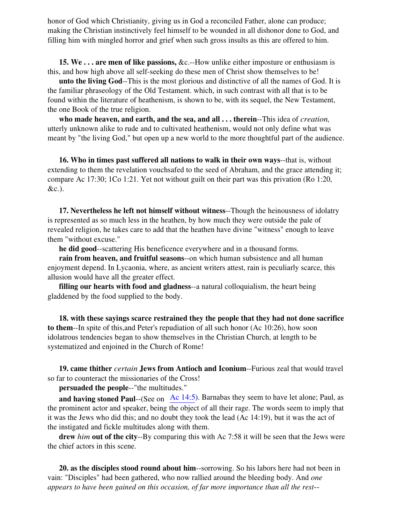honor of God which Christianity, giving us in God a reconciled Father, alone can produce; making the Christian instinctively feel himself to be wounded in all dishonor done to God, and filling him with mingled horror and grief when such gross insults as this are offered to him.

 **15. We . . . are men of like passions,** &c.--How unlike either imposture or enthusiasm is this, and how high above all self-seeking do these men of Christ show themselves to be!

 **unto the living God**--This is the most glorious and distinctive of all the names of God. It is the familiar phraseology of the Old Testament. which, in such contrast with all that is to be found within the literature of heathenism, is shown to be, with its sequel, the New Testament, the one Book of the true religion.

 **who made heaven, and earth, and the sea, and all . . . therein**--This idea of *creation,* utterly unknown alike to rude and to cultivated heathenism, would not only define what was meant by "the living God," but open up a new world to the more thoughtful part of the audience.

 **16. Who in times past suffered all nations to walk in their own ways**--that is, without extending to them the revelation vouchsafed to the seed of Abraham, and the grace attending it; compare Ac 17:30; 1Co 1:21. Yet not without guilt on their part was this privation (Ro 1:20, &c.).

 **17. Nevertheless he left not himself without witness**--Though the heinousness of idolatry is represented as so much less in the heathen, by how much they were outside the pale of revealed religion, he takes care to add that the heathen have divine "witness" enough to leave them "without excuse."

**he did good**--scattering His beneficence everywhere and in a thousand forms.

 **rain from heaven, and fruitful seasons**--on which human subsistence and all human enjoyment depend. In Lycaonia, where, as ancient writers attest, rain is peculiarly scarce, this allusion would have all the greater effect.

 **filling our hearts with food and gladness**--a natural colloquialism, the heart being gladdened by the food supplied to the body.

 **18. with these sayings scarce restrained they the people that they had not done sacrifice to them**--In spite of this,and Peter's repudiation of all such honor (Ac 10:26), how soon idolatrous tendencies began to show themselves in the Christian Church, at length to be systematized and enjoined in the Church of Rome!

 **19. came thither** *certain* **Jews from Antioch and Iconium**--Furious zeal that would travel so far to counteract the missionaries of the Cross!

**persuaded the people**--"the multitudes."

**and having stoned Paul**--(See on  $\frac{\text{Ac }14:5}{\text{A}}$ ). Barnabas they seem to have let alone; Paul, as the prominent actor and speaker, being the object of all their rage. The words seem to imply that it was the Jews who did this; and no doubt they took the lead (Ac 14:19), but it was the act of the instigated and fickle multitudes along with them.

 **drew** *him* **out of the city**--By comparing this with Ac 7:58 it will be seen that the Jews were the chief actors in this scene.

 **20. as the disciples stood round about him**--sorrowing. So his labors here had not been in vain: "Disciples" had been gathered, who now rallied around the bleeding body. And *one appears to have been gained on this occasion, of far more importance than all the rest*--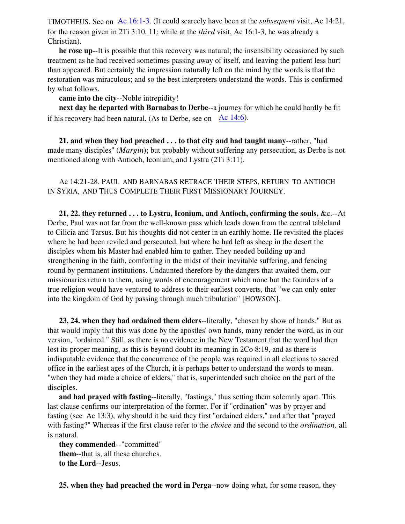TIMOTHEUS. See on Ac 16:1-3. (It could scarcely have been at the *subsequent* visit, Ac 14:21, for the reason given in 2Ti 3:10, 11; while at the *third* visit, Ac 16:1-3, he was already a Christian).

 **he rose up**--It is possible that this recovery was natural; the insensibility occasioned by such treatment as he had received sometimes passing away of itself, and leaving the patient less hurt than appeared. But certainly the impression naturally left on the mind by the words is that the restoration was miraculous; and so the best interpreters understand the words. This is confirmed by what follows.

**came into the city**--Noble intrepidity!

if his recovery had been natural. (As to Derbe, see on  $\Delta c$  14:6). **next day he departed with Barnabas to Derbe**--a journey for which he could hardly be fit

 **21. and when they had preached . . . to that city and had taught many**--rather, "had made many disciples" (*Margin*); but probably without suffering any persecution, as Derbe is not mentioned along with Antioch, Iconium, and Lystra (2Ti 3:11).

 Ac 14:21-28. PAUL AND BARNABAS RETRACE THEIR STEPS, RETURN TO ANTIOCH IN SYRIA, AND THUS COMPLETE THEIR FIRST MISSIONARY JOURNEY.

 **21, 22. they returned . . . to Lystra, Iconium, and Antioch, confirming the souls,** &c.--At Derbe, Paul was not far from the well-known pass which leads down from the central tableland to Cilicia and Tarsus. But his thoughts did not center in an earthly home. He revisited the places where he had been reviled and persecuted, but where he had left as sheep in the desert the disciples whom his Master had enabled him to gather. They needed building up and strengthening in the faith, comforting in the midst of their inevitable suffering, and fencing round by permanent institutions. Undaunted therefore by the dangers that awaited them, our missionaries return to them, using words of encouragement which none but the founders of a true religion would have ventured to address to their earliest converts, that "we can only enter into the kingdom of God by passing through much tribulation" [HOWSON].

 **23, 24. when they had ordained them elders**--literally, "chosen by show of hands." But as that would imply that this was done by the apostles' own hands, many render the word, as in our version, "ordained." Still, as there is no evidence in the New Testament that the word had then lost its proper meaning, as this is beyond doubt its meaning in 2Co 8:19, and as there is indisputable evidence that the concurrence of the people was required in all elections to sacred office in the earliest ages of the Church, it is perhaps better to understand the words to mean, "when they had made a choice of elders," that is, superintended such choice on the part of the disciples.

 **and had prayed with fasting**--literally, "fastings," thus setting them solemnly apart. This last clause confirms our interpretation of the former. For if "ordination" was by prayer and fasting (see Ac 13:3), why should it be said they first "ordained elders," and after that "prayed with fasting?" Whereas if the first clause refer to the *choice* and the second to the *ordination,* all is natural.

 **they commended**--"committed" **them**--that is, all these churches. **to the Lord**--Jesus.

**25. when they had preached the word in Perga**--now doing what, for some reason, they